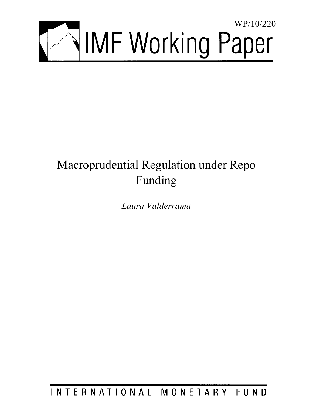

# Macroprudential Regulation under Repo Funding

*Laura Valderrama* 

INTERNATIONAL MONETARY FUND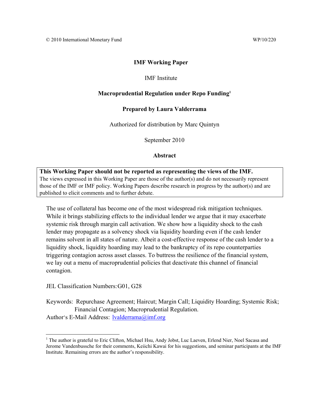## **IMF Working Paper**

## IMF Institute

## **Macroprudential Regulation under Repo Funding1**

## **Prepared by Laura Valderrama**

Authorized for distribution by Marc Quintyn

September 2010

## **Abstract**

## **This Working Paper should not be reported as representing the views of the IMF.** The views expressed in this Working Paper are those of the author(s) and do not necessarily represent those of the IMF or IMF policy. Working Papers describe research in progress by the author(s) and are published to elicit comments and to further debate.

The use of collateral has become one of the most widespread risk mitigation techniques. While it brings stabilizing effects to the individual lender we argue that it may exacerbate systemic risk through margin call activation. We show how a liquidity shock to the cash lender may propagate as a solvency shock via liquidity hoarding even if the cash lender remains solvent in all states of nature. Albeit a cost-effective response of the cash lender to a liquidity shock, liquidity hoarding may lead to the bankruptcy of its repo counterparties triggering contagion across asset classes. To buttress the resilience of the financial system, we lay out a menu of macroprudential policies that deactivate this channel of financial contagion.

JEL Classification Numbers: G01, G28

 $\overline{a}$ 

Keywords: Repurchase Agreement; Haircut; Margin Call; Liquidity Hoarding; Systemic Risk; Financial Contagion; Macroprudential Regulation. Author's E-Mail Address: lvalderrama@imf.org

<sup>&</sup>lt;sup>1</sup> The author is grateful to Eric Clifton, Michael Hsu, Andy Jobst, Luc Laeven, Erlend Nier, Noel Sacasa and Jerome Vandenbussche for their comments, Keiichi Kawai for his suggestions, and seminar participants at the IMF Institute. Remaining errors are the author's responsibility.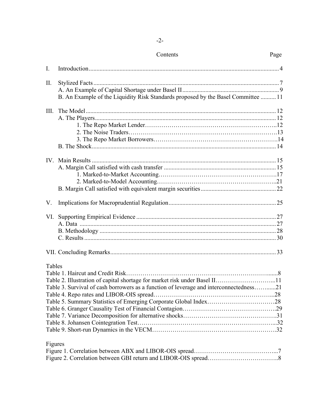|         | Contents                                                                               | Page |
|---------|----------------------------------------------------------------------------------------|------|
| I.      |                                                                                        |      |
| II.     |                                                                                        |      |
|         |                                                                                        |      |
|         | B. An Example of the Liquidity Risk Standards proposed by the Basel Committee  11      |      |
| III.    |                                                                                        |      |
|         |                                                                                        |      |
|         |                                                                                        |      |
|         |                                                                                        |      |
|         |                                                                                        |      |
|         |                                                                                        |      |
|         |                                                                                        |      |
|         |                                                                                        |      |
|         |                                                                                        |      |
|         |                                                                                        |      |
|         |                                                                                        |      |
| V.      |                                                                                        |      |
|         |                                                                                        |      |
|         |                                                                                        |      |
|         |                                                                                        |      |
|         |                                                                                        |      |
|         |                                                                                        |      |
| Tables  |                                                                                        |      |
|         |                                                                                        |      |
|         | Table 2. Illustration of capital shortage for market risk under Basel II11             |      |
|         | Table 3. Survival of cash borrowers as a function of leverage and interconnectedness21 |      |
|         |                                                                                        |      |
|         |                                                                                        |      |
|         |                                                                                        |      |
|         |                                                                                        |      |
|         |                                                                                        |      |
|         |                                                                                        |      |
| Figures |                                                                                        |      |
|         |                                                                                        |      |
|         |                                                                                        |      |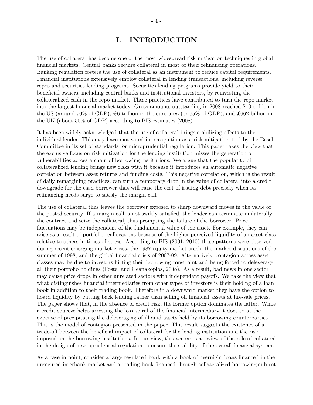# I. INTRODUCTION

The use of collateral has become one of the most widespread risk mitigation techniques in global financial markets. Central banks require collateral in most of their refinancing operations. Banking regulation fosters the use of collateral as an instrument to reduce capital requirements. Financial institutions extensively employ collateral in lending transactions, including reverse repos and securities lending programs. Securities lending programs provide yield to their beneficial owners, including central banks and institutional investors, by reinvesting the collateralized cash in the repo market. These practices have contributed to turn the repo market into the largest financial market today. Gross amounts outstanding in 2008 reached \$10 trillion in the US (around 70% of GDP),  $\epsilon$ 6 trillion in the euro area (or 65% of GDP), and £662 billion in the UK (about 50% of GDP) according to BIS estimates (2008).

It has been widely acknowledged that the use of collateral brings stabilizing effects to the individual lender. This may have motivated its recognition as a risk mitigation tool by the Basel Committee in its set of standards for microprudential regulation. This paper takes the view that the exclusive focus on risk mitigation for the lending institution misses the generation of vulnerabilities across a chain of borrowing institutions. We argue that the popularity of collateralized lending brings new risks with it because it introduces an automatic negative correlation between asset returns and funding costs. This negative correlation, which is the result of daily remargining practices, can turn a temporary drop in the value of collateral into a credit downgrade for the cash borrower that will raise the cost of issuing debt precisely when its refinancing needs surge to satisfy the margin call.

The use of collateral thus leaves the borrower exposed to sharp downward moves in the value of the posted security. If a margin call is not swiftly satisfied, the lender can terminate unilaterally the contract and seize the collateral, thus prompting the failure of the borrower. Price fluctuations may be independent of the fundamental value of the asset. For example, they can arise as a result of portfolio reallocations because of the higher perceived liquidity of an asset class relative to others in times of stress. According to BIS (2001, 2010) these patterns were observed during recent emerging market crises, the 1987 equity market crash, the market disruptions of the summer of 1998, and the global financial crisis of 2007-09. Alternatively, contagion across asset classes may be due to investors hitting their borrowing constraint and being forced to deleverage all their portfolio holdings (Fostel and Geanakoplos, 2008). As a result, bad news in one sector may cause price drops in other unrelated sectors with independent payoffs. We take the view that what distinguishes financial intermediaries from other types of investors is their holding of a loan book in addition to their trading book. Therefore in a downward market they have the option to hoard liquidity by cutting back lending rather than selling off financial assets at fire-sale prices. The paper shows that, in the absence of credit risk, the former option dominates the latter. While a credit squeeze helps arresting the loss spiral of the financial intermediary it does so at the expense of precipitating the deleveraging of illiquid assets held by its borrowing counterparties. This is the model of contagion presented in the paper. This result suggests the existence of a trade-off between the beneficial impact of collateral for the lending institution and the risk imposed on the borrowing institutions. In our view, this warrants a review of the role of collateral in the design of macroprudential regulation to ensure the stability of the overall financial system.

As a case in point, consider a large regulated bank with a book of overnight loans financed in the unsecured interbank market and a trading book financed through collateralized borrowing subject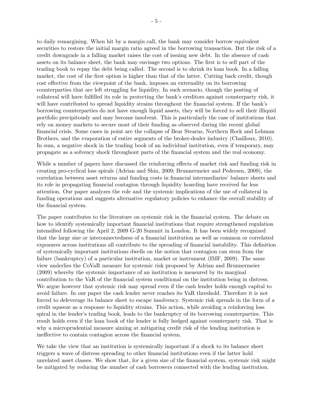to daily remargining. When hit by a margin call, the bank may consider borrow equivalent securities to restore the initial margin ratio agreed in the borrowing transaction. But the risk of a credit downgrade in a falling market raises the cost of issuing new debt. In the absence of cash assets on its balance sheet, the bank may envisage two options. The first is to sell part of the trading book to repay the debt being called. The second is to shrink its loan book. In a falling market, the cost of the first option is higher than that of the latter. Cutting back credit, though cost effective from the viewpoint of the bank, imposes an externality on its borrowing counterparties that are left struggling for liquidity. In such scenario, though the posting of collateral will have fulfilled its role in protecting the bank's creditors against counterparty risk, it will have contributed to spread liquidity strains throughout the financial system. If the bank's borrowing counterparties do not have enough liquid assets, they will be forced to sell their illiquid portfolio precipitously and may become insolvent. This is particularly the case of institutions that rely on money markets to secure most of their funding as observed during the recent global financial crisis. Some cases in point are the collapse of Bear Stearns, Northern Rock and Lehman Brothers, and the evaporation of entire segments of the broker-dealer industry (Chailloux, 2010). In sum, a negative shock in the trading book of an individual institution, even if temporary, may propagate as a solvency shock throughout parts of the financial system and the real economy.

While a number of papers have discussed the reinforcing effects of market risk and funding risk in creating pro-cyclical loss spirals (Adrian and Shin, 2009; Brunnermeier and Pedersen, 2009), the correlation between asset returns and funding costs in financial intermediaries' balance sheets and its role in propagating financial contagion through liquidity hoarding have received far less attention. Our paper analyzes the role and the systemic implications of the use of collateral in funding operations and suggests alternative regulatory policies to enhance the overall stability of the financial system.

The paper contributes to the literature on systemic risk in the financial system. The debate on how to identify systemically important financial institutions that require strengthened regulation intensified following the April 2, 2009 G-20 Summit in London. It has been widely recognized that the large size or inteconnectedness of a financial institution as well as common or correlated exposures across institutions all contribute to the spreading of financial instability. This definition of systemically important institutions dwells on the notion that contagion can stem from the failure (bankruptcy) of a particular institution, market or instrument (IMF, 2009). The same view underlies the CoVaR measure for systemic risk proposed by Adrian and Brunnermeier (2009) whereby the systemic importance of an institution is measured by its marginal contribution to the VaR of the financial system conditional on the institution being in distress. We argue however that systemic risk may spread even if the cash lender holds enough capital to avoid failure. In our paper the cash lender never reaches its VaR threshold. Therefore it is not forced to deleverage its balance sheet to escape insolvency. Systemic risk spreads in the form of a credit squeeze as a response to liquidity strains. This action, while avoiding a reinforcing loss spiral in the lender's trading book, leads to the bankruptcy of its borrowing counterparties. This result holds even if the loan book of the lender is fully hedged against counterparty risk. That is why a microprudential measure aiming at mitigating credit risk of the lending institution is ineffective to contain contagion across the financial system.

We take the view that an institution is systemically important if a shock to its balance sheet triggers a wave of distress spreading to other financial institutions even if the latter hold unrelated asset classes. We show that, for a given size of the financial system, systemic risk might be mitigated by reducing the number of cash borrowers connected with the lending institution.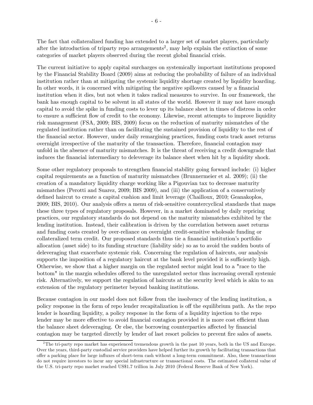The fact that collateralized funding has extended to a larger set of market players, particularly after the introduction of triparty repo arrangements<sup>2</sup>, may help explain the extinction of some categories of market players observed during the recent global financial crisis.

The current initiative to apply capital surcharges on systemically important institutions proposed by the Financial Stability Board (2009) aims at reducing the probability of failure of an individual institution rather than at mitigating the systemic liquidity shortage created by liquidity hoarding. In other words, it is concerned with mitigating the negative spillovers caused by a financial institution when it dies, but not when it takes radical measures to survive. In our framework, the bank has enough capital to be solvent in all states of the world. However it may not have enough capital to avoid the spike in funding costs to lever up its balance sheet in times of distress in order to ensure a sufficient flow of credit to the economy. Likewise, recent attempts to improve liquidity risk management (FSA, 2009; BIS, 2009) focus on the reduction of maturity mismatches of the regulated institution rather than on facilitating the sustained provision of liquidity to the rest of the financial sector. However, under daily remargining practices, funding costs track asset returns overnight irrespective of the maturity of the transaction. Therefore, financial contagion may unfold in the absence of maturity mismatches. It is the threat of receiving a credit downgrade that induces the financial intermediary to deleverage its balance sheet when hit by a liquidity shock.

Some other regulatory proposals to strengthen financial stability going forward include: (i) higher capital requirements as a function of maturity mismatches (Brunnermeier et al. 2009); (ii) the creation of a mandatory liquidity charge working like a Pigouvian tax to decrease maturity mismatches (Perotti and Suarez, 2009; BIS 2009), and (iii) the application of a conservatively defined haircut to create a capital cushion and limit leverage (Chailloux, 2010; Geanakoplos, 2009; BIS, 2010). Our analysis offers a menu of risk-sensitive countercyclical standards that maps these three types of regulatory proposals. However, in a market dominated by daily repricing practices, our regulatory standards do not depend on the maturity mismatches exhibited by the lending institution. Instead, their calibration is driven by the correlation between asset returns and funding costs created by over-reliance on overnight credit-sensitive wholesale funding or collateralized term credit. Our proposed standards thus tie a financial institution's portfolio allocation (asset side) to its funding structure (liability side) so as to avoid the sudden bouts of deleveraging that exacerbate systemic risk. Concerning the regulation of haircuts, our analysis supports the imposition of a regulatory haircut at the bank level provided it is sufficiently high. Otherwise, we show that a higher margin on the regulated sector might lead to a "race to the bottom" in the margin schedules offered to the unregulated sector thus increasing overall systemic risk. Alternatively, we support the regulation of haircuts at the security level which is akin to an extension of the regulatory perimeter beyond banking institutions.

Because contagion in our model does not follow from the insolvency of the lending institution, a policy response in the form of repo lender recapitalization is off the equilibrium path. As the repo lender is hoarding liquidity, a policy response in the form of a liquidity injection to the repo lender may be more effective to avoid financial contagion provided it is more cost efficient than the balance sheet deleveraging. Or else, the borrowing counterparties affected by financial contagion may be targeted directly by lender of last resort policies to prevent fire sales of assets.

<sup>&</sup>lt;sup>2</sup>The tri-party repo market has experienced tremendous growth in the past 10 years, both in the US and Europe. Over the years, third-party custodial service providers have helped further its growth by facilitating transactions that offer a parking place for large influxes of short-term cash without a long-term commitment. Also, these transactions do not require investors to incur any special infrastructure or transactional costs. The estimated collateral value of the U.S. tri-party repo market reached US\$1.7 trillion in July 2010 (Federal Reserve Bank of New York).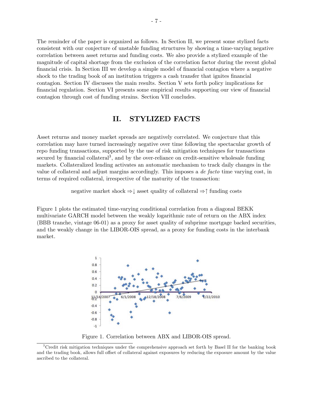The reminder of the paper is organized as follows. In Section II, we present some stylized facts consistent with our conjecture of unstable funding structures by showing a time-varying negative correlation between asset returns and funding costs. We also provide a stylized example of the magnitude of capital shortage from the exclusion of the correlation factor during the recent global financial crisis. In Section III we develop a simple model of financial contagion where a negative shock to the trading book of an institution triggers a cash transfer that ignites financial contagion. Section IV discusses the main results. Section V sets forth policy implications for financial regulation. Section VI presents some empirical results supporting our view of financial contagion through cost of funding strains. Section VII concludes.

## II. STYLIZED FACTS

Asset returns and money market spreads are negatively correlated. We conjecture that this correlation may have turned increasingly negative over time following the spectacular growth of repo funding transactions, supported by the use of risk mitigation techniques for transactions secured by financial collateral<sup>3</sup>, and by the over-reliance on credit-sensitive wholesale funding markets. Collateralized lending activates an automatic mechanism to track daily changes in the value of collateral and adjust margins accordingly. This imposes a de facto time varying cost, in terms of required collateral, irrespective of the maturity of the transaction:

negative market shock  $\Rightarrow \downarrow$  asset quality of collateral  $\Rightarrow \uparrow$  funding costs

Figure 1 plots the estimated time-varying conditional correlation from a diagonal BEKK multivariate GARCH model between the weakly logarithmic rate of return on the ABX index (BBB tranche, vintage 06-01) as a proxy for asset quality of subprime mortgage backed securities, and the weakly change in the LIBOR-OIS spread, as a proxy for funding costs in the interbank market.



Figure 1. Correlation between ABX and LIBOR-OIS spread.

<sup>&</sup>lt;sup>3</sup>Credit risk mitigation techniques under the comprehensive approach set forth by Basel II for the banking book and the trading book, allows full offset of collateral against exposures by reducing the exposure amount by the value ascribed to the collateral.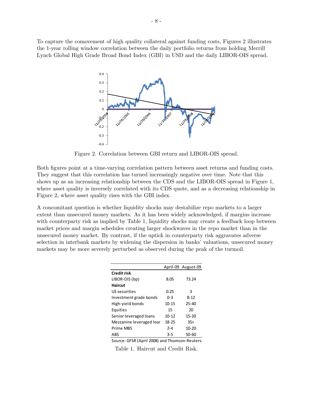To capture the comovement of high quality collateral against funding costs, Figures 2 illustrates the 1-year rolling window correlation between the daily portfolio returns from holding Merrill Lynch Global High Grade Broad Bond Index (GBI) in USD and the daily LIBOR-OIS spread.



Figure 2. Correlation between GBI return and LIBOR-OIS spread.

Both figures point at a time-varying correlation pattern between asset returns and funding costs. They suggest that this correlation has turned increasingly negative over time. Note that this shows up as an increasing relationship between the CDS and the LIBOR-OIS spread in Figure 1, where asset quality is inversely correlated with its CDS quote, and as a decreasing relationship in Figure 2, where asset quality rises with the GBI index.

A concomitant question is whether liquidity shocks may destabilize repo markets to a larger extent than unsecured money markets. As it has been widely acknowledged, if margins increase with counterparty risk as implied by Table 1, liquidity shocks may create a feedback loop between market prices and margin schedules creating larger shockwaves in the repo market than in the unsecured money market. By contrast, if the uptick in counterparty risk aggravates adverse selection in interbank markets by widening the dispersion in banks' valuations, unsecured money markets may be more severely perturbed as observed during the peak of the turmoil.

|                            |           | April-09 August-09 |
|----------------------------|-----------|--------------------|
| <b>Credit risk</b>         |           |                    |
| LIBOR-OIS (bp)             | 8.05      | 73.24              |
| <b>Haircut</b>             |           |                    |
| US securities              | 0.25      | 3                  |
| Investment grade bonds     | $0 - 3$   | $8 - 12$           |
| High-yield bonds           | $10 - 15$ | $25 - 40$          |
| Equities                   | 15        | 20                 |
| Senior leveraged loans     | $10 - 12$ | $15 - 20$          |
| Mezzanine leveraged loar   | $18 - 25$ | $35+$              |
| Prime MBS                  | $2 - 4$   | $10 - 20$          |
| ABS                        | $3 - 5$   | 50-60              |
| 1.00001<br>$\cdot$ $\cdot$ |           |                    |

Source: GFSR (April 2008) and Thomson-Reuters.

Table 1. Haircut and Credit Risk.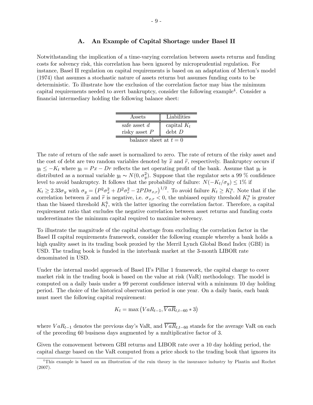#### A. An Example of Capital Shortage under Basel II

Notwithstanding the implication of a time-varying correlation between assets returns and funding costs for solvency risk, this correlation has been ignored by microprudential regulation. For instance, Basel II regulation on capital requirements is based on an adaptation of Merton's model (1974) that assumes a stochastic nature of assets returns but assumes funding costs to be deterministic. To illustrate how the exclusion of the correlation factor may bias the minimum capital requirements needed to avert bankruptcy, consider the following example4. Consider a financial intermediary holding the following balance sheet:

| Assets                 | Liabilities   |  |  |  |  |
|------------------------|---------------|--|--|--|--|
| safe asset $d$         | capital $K_t$ |  |  |  |  |
| risky asset $P$        | $debt$ D      |  |  |  |  |
| balance sheet at $t=0$ |               |  |  |  |  |

The rate of return of the safe asset is normalized to zero. The rate of return of the risky asset and the cost of debt are two random variables denoted by  $\tilde{x}$  and  $\tilde{r}$ , respectively. Bankruptcy occurs if  $y_t \leq -K_t$  where  $y_t = Px - Dr$  reflects the net operating profit of the bank. Assume that  $y_t$  is distributed as a normal variable  $y_t \sim N(0, \sigma_y^2)$ . Suppose that the regulator sets a 99 % confidence level to avoid bankruptcy. It follows that the probability of failure:  $N(-K_t/\sigma_y) \leq 1\%$  if  $K_t \geq 2.33\sigma_y$  with  $\sigma_y = (P^2\sigma_x^2 + D^2\sigma_r^2 - 2PD\sigma_{x,r})^{1/2}$ . To avoid failure  $K_t \geq K_t^u$ . Note that if the correlation between  $\tilde{x}$  and  $\tilde{r}$  is negative, i.e.  $\sigma_{x,r} < 0$ , the unbiased equity threshold  $K_t^u$  is greater than the biased threshold  $K_t^b$ , with the latter ignoring the correlation factor. Therefore, a capital requirement ratio that excludes the negative correlation between asset returns and funding costs underestimates the minimum capital required to maximize solvency.

To illustrate the magnitude of the capital shortage from excluding the correlation factor in the Basel II capital requirements framework, consider the following example whereby a bank holds a high quality asset in its trading book proxied by the Merril Lynch Global Bond Index (GBI) in USD. The trading book is funded in the interbank market at the 3-month LIBOR rate denominated in USD.

Under the internal model approach of Basel II's Pillar 1 framework, the capital charge to cover market risk in the trading book is based on the value at risk (VaR) methodology. The model is computed on a daily basis under a 99 percent confidence interval with a minimum 10 day holding period. The choice of the historical observation period is one year. On a daily basis, each bank must meet the following capital requirement:

$$
K_t = \max\left(VaR_{t-1},\overline{VaR}_{t,t-60}*3\right)
$$

where  $VaR_{t-1}$  denotes the previous day's VaR, and  $\overline{VaR}_{t,t-60}$  stands for the average VaR on each of the preceding 60 business days augmented by a multiplicative factor of 3.

Given the comovement between GBI returns and LIBOR rate over a 10 day holding period, the capital charge based on the VaR computed from a price shock to the trading book that ignores its

<sup>4</sup>This example is based on an illustration of the ruin theory in the insurance industry by Plantin and Rochet (2007).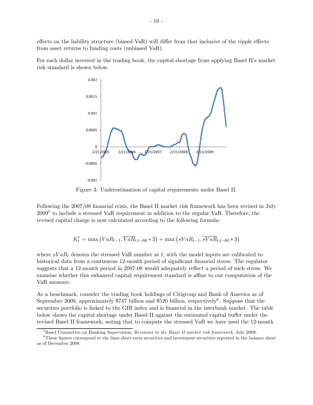effects on the liability structure (biased VaR) will differ from that inclusive of the ripple effects from asset returns to funding costs (unbiased VaR).

For each dollar invested in the trading book, the capital shortage from applying Basel II's market risk standard is shown below.



Figure 3. Underestimation of capital requirements under Basel II.

Following the 2007/08 financial crisis, the Basel II market risk framework has been revised in July 20095 to include a stressed VaR requirement in addition to the regular VaR. Therefore, the revised capital charge is now calculated according to the following formula:

$$
K_t^r = \max\left(VaR_{t-1}, \overline{VaR}_{t,t-60} * 3\right) + \max\left(sVaR_{t-1}, \overline{sVaR}_{t,t-60} * 3\right)
$$

where  $sVaR_t$  denotes the stressed VaR number at t, with the model inputs are calibrated to historical data from a continuous 12-month period of significant financial stress. The regulator suggests that a 12-month period in 2007-08 would adequately reflect a period of such stress. We examine whether this enhanced capital requirement standard is affine to our computation of the VaR measure.

As a benchmark, consider the trading book holdings of Citigroup and Bank of America as of September 2009, approximately \$747 billion and \$520 billion, respectively<sup>6</sup>. Suppose that the securities portfolio is linked to the GBI index and is financed in the interbank market. The table below shows the capital shortage under Basel II against the estimated capital buffer under the revised Basel II framework, noting that to compute the stressed VaR we have used the 12-month

 ${}^{5}$ Basel Committee on Banking Supervision, Revisions to the Basel II market risk framework, July 2009.

 $6$ These figures correspond to the lines short-term securities and investment securities reported in the balance sheet as of December 2008.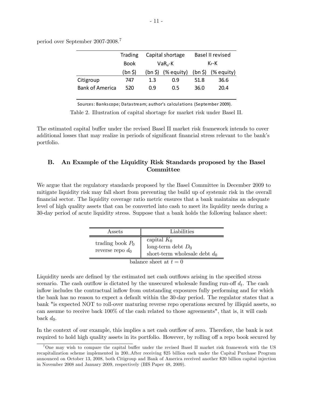|                        | Trading     | Capital shortage<br>$VaR_{u}$ -K |                             | <b>Basel II revised</b> |                          |  |
|------------------------|-------------|----------------------------------|-----------------------------|-------------------------|--------------------------|--|
|                        | <b>Book</b> |                                  |                             |                         | $Kr$ -K                  |  |
|                        | (bn S)      |                                  | $(bn \, \xi)$ $(\%$ equity) |                         | $(bn \, \xi)$ (% equity) |  |
| Citigroup              | 747         | 1.3                              | 0.9                         | 51.8                    | 36.6                     |  |
| <b>Bank of America</b> | 520         | 0.9                              | 0.5                         | 36.0                    | 20.4                     |  |
|                        |             |                                  |                             |                         |                          |  |

period over September 2007-2008.<sup>7</sup>

Sources: Bankscope; Datastream; author's calculations (September 2009).

Table 2. Illustration of capital shortage for market risk under Basel II.

The estimated capital buffer under the revised Basel II market risk framework intends to cover additional losses that may realize in periods of significant financial stress relevant to the bank's portfolio.

## B. An Example of the Liquidity Risk Standards proposed by the Basel Committee

We argue that the regulatory standards proposed by the Basel Committee in December 2009 to mitigate liquidity risk may fall short from preventing the build up of systemic risk in the overall financial sector. The liquidity coverage ratio metric ensures that a bank maintains an adequate level of high quality assets that can be converted into cash to meet its liquidity needs during a 30-day period of acute liquidity stress. Suppose that a bank holds the following balance sheet:

| capital $K_0$<br>trading book $P_0$<br>long-term debt $D_0$<br>reverse repo $d_0$ | Assets | Liabilities                     |
|-----------------------------------------------------------------------------------|--------|---------------------------------|
|                                                                                   |        | short-term wholesale debt $d_0$ |

balance sheet at  $t = 0$ 

Liquidity needs are defined by the estimated net cash outflows arising in the specified stress scenario. The cash outflow is dictated by the unsecured wholesale funding run-off  $d_t$ . The cash inflow includes the contractual inflow from outstanding exposures fully performing and for which the bank has no reason to expect a default within the 30-day period. The regulator states that a bank "is expected NOT to roll-over maturing reverse repo operations secured by illiquid assets, so can assume to receive back 100% of the cash related to those agreements", that is, it will cash back  $d_0$ .

In the context of our example, this implies a net cash outflow of zero. Therefore, the bank is not required to hold high quality assets in its portfolio. However, by rolling off a repo book secured by

<sup>7</sup>One may wish to compare the capital buffer under the revised Basel II market risk framework with the US recapitalization scheme implemented in 200..After receiving \$25 billion each under the Capital Purchase Program announced on October 13, 2008, both Citigroup and Bank of America received another \$20 billion capital injection in November 2008 and January 2009, respectively (BIS Paper 48, 2009).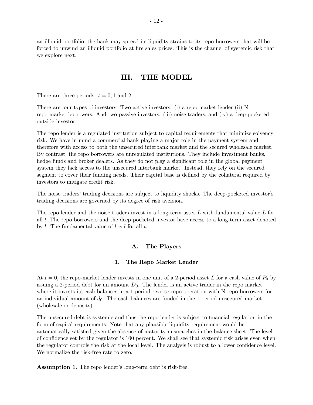an illiquid portfolio, the bank may spread its liquidity strains to its repo borrowers that will be forced to unwind an illiquid portfolio at fire sales prices. This is the channel of systemic risk that we explore next.

## III. THE MODEL

There are three periods:  $t = 0, 1$  and 2.

There are four types of investors. Two active investors: (i) a repo-market lender (ii) N repo-market borrowers. And two passive investors: (iii) noise-traders, and (iv) a deep-pocketed outside investor.

The repo lender is a regulated institution subject to capital requirements that minimize solvency risk. We have in mind a commercial bank playing a major role in the payment system and therefore with access to both the unsecured interbank market and the secured wholesale market. By contrast, the repo borrowers are unregulated institutions. They include investment banks, hedge funds and broker dealers. As they do not play a significant role in the global payment system they lack access to the unsecured interbank market. Instead, they rely on the secured segment to cover their funding needs. Their capital base is defined by the collateral required by investors to mitigate credit risk.

The noise traders' trading decisions are subject to liquidity shocks. The deep-pocketed investor's trading decisions are governed by its degree of risk aversion.

The repo lender and the noise traders invest in a long-term asset  $L$  with fundamental value  $L$  for all  $t$ . The repo borrowers and the deep-pocketed investor have access to a long-term asset denoted by  $l$ . The fundamental value of  $l$  is  $l$  for all  $t$ .

#### A. The Players

#### 1. The Repo Market Lender

At  $t = 0$ , the repo-market lender invests in one unit of a 2-period asset L for a cash value of  $P_0$  by issuing a 2-period debt for an amount  $D_0$ . The lender is an active trader in the repo market where it invests its cash balances in a 1-period reverse repo operation with N repo borrowers for an individual amount of  $d_0$ . The cash balances are funded in the 1-period unsecured market (wholesale or deposits).

The unsecured debt is systemic and thus the repo lender is subject to financial regulation in the form of capital requirements. Note that any plausible liquidity requirement would be automatically satisfied given the absence of maturity mismatches in the balance sheet. The level of confidence set by the regulator is 100 percent. We shall see that systemic risk arises even when the regulator controls the risk at the local level. The analysis is robust to a lower confidence level. We normalize the risk-free rate to zero.

Assumption 1. The repo lender's long-term debt is risk-free.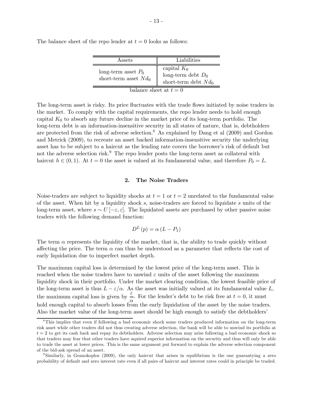| Assets                                           | Liabilities                                                     |  |  |  |  |
|--------------------------------------------------|-----------------------------------------------------------------|--|--|--|--|
| long-term asset $P_0$<br>short-term asset $Nd_0$ | capital $K_0$<br>long-term debt $D_0$<br>short-term debt $Nd_0$ |  |  |  |  |
| balance sheet at $t=0$                           |                                                                 |  |  |  |  |

The balance sheet of the repo lender at  $t = 0$  looks as follows:

The long-term asset is risky. Its price fluctuates with the trade flows initiated by noise traders in the market. To comply with the capital requirements, the repo lender needs to hold enough capital  $K_0$  to absorb any future decline in the market price of its long-term portfolio. The long-term debt is an information-insensitive security in all states of nature, that is, debtholders are protected from the risk of adverse selection.<sup>8</sup> As explained by Dang et al  $(2009)$  and Gordon and Metrick (2009), to recreate an asset backed information-insensitive security the underlying asset has to be subject to a haircut as the lending rate covers the borrower's risk of default but not the adverse selection risk.<sup>9</sup> The repo lender posts the long-term asset as collateral with haircut  $h \in (0, 1)$ . At  $t = 0$  the asset is valued at its fundamental value, and therefore  $P_0 = L$ .

#### 2. The Noise Traders

Noise-traders are subject to liquidity shocks at  $t = 1$  or  $t = 2$  unrelated to the fundamental value of the asset. When hit by a liquidity shock  $s$ , noise-traders are forced to liquidate  $s$  units of the long-term asset, where  $s \sim U[-\epsilon, \epsilon]$ . The liquidated assets are purchased by other passive noise traders with the following demand function:

$$
D^{L}(p) = \alpha (L - P_{1})
$$

The term  $\alpha$  represents the liquidity of the market, that is, the ability to trade quickly without affecting the price. The term  $\alpha$  can thus be understood as a parameter that reflects the cost of early liquidation due to imperfect market depth.

The maximum capital loss is determined by the lowest price of the long-term asset. This is reached when the noise traders have to unwind  $\varepsilon$  units of the asset following the maximum liquidity shock in their portfolio. Under the market clearing condition, the lowest feasible price of the long-term asset is thus  $L - \varepsilon/\alpha$ . As the asset was initially valued at its fundamental value L, the maximum capital loss is given by  $\frac{\varepsilon}{\varepsilon}$ . For the lender's debt to be risk free at  $t = 0$ , it must  $\alpha$ hold enough capital to absorb losses from the early liquidation of the asset by the noise traders. Also the market value of the long-term asset should be high enough to satisfy the debtholders'

<sup>&</sup>lt;sup>8</sup>This implies that even if following a bad economic shock some traders produced information on the long-term risk asset while other traders did not thus creating adverse selection, the bank will be able to unwind its portfolio at  $t = 2$  to get its cash back and repay its debtholders. Adverse selection may arise following a bad economic shock so that traders may fear that other traders have aquired superior information on the security and thus will only be able to trade the asset at lower prices. This is the same argument put forward to explain the adverse selection component of the bid-ask spread of an asset.

<sup>9</sup>Similarly, in Geanokoplos (2009), the only haircut that arises in equilibrium is the one guarantying a zero probability of default and zero interest rate even if all pairs of haircut and interest rates could in principle be traded.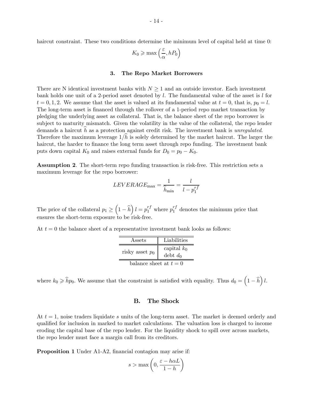haircut constraint. These two conditions determine the minimum level of capital held at time 0:

$$
K_0 \ge \max\left(\frac{\varepsilon}{\alpha}, hP_0\right)
$$

#### 3. The Repo Market Borrowers

There are N identical investment banks with  $N \geq 1$  and an outside investor. Each investment bank holds one unit of a 2-period asset denoted by  $l$ . The fundamental value of the asset is  $l$  for  $t = 0, 1, 2$ . We assume that the asset is valued at its fundamental value at  $t = 0$ , that is,  $p_0 = l$ . The long-term asset is financed through the rollover of a 1-period repo market transaction by pledging the underlying asset as collateral. That is, the balance sheet of the repo borrower is subject to maturity mismatch. Given the volatility in the value of the collateral, the repo lender demands a haircut  $h$  as a protection against credit risk. The investment bank is unregulated. Therefore the maximum leverage  $1/h$  is solely determined by the market haircut. The larger the haircut, the harder to finance the long term asset through repo funding. The investment bank puts down capital  $K_0$  and raises external funds for  $D_0 = p_0 - K_0$ .

Assumption 2. The short-term repo funding transaction is risk-free. This restriction sets a maximum leverage for the repo borrower:

$$
LEVERAGE_{\text{max}} = \frac{1}{\hat{h}_{\text{min}}} = \frac{l}{l - p_1^{rf}}
$$

The price of the collateral  $p_1 \geq (1 - \widehat{h}) l = p_1^{rf}$  where  $p_1^{rf}$  denotes the minimum price that ensures the short-term exposure to be risk-free.

At  $t = 0$  the balance sheet of a representative investment bank looks as follows:

| Assets                 | Liabilities                 |  |  |  |
|------------------------|-----------------------------|--|--|--|
| risky asset $p_0$      | capital $k_0$<br>debt $d_0$ |  |  |  |
| balance sheet at $t=0$ |                             |  |  |  |

where  $k_0 \geqslant \widehat{h}p_0$ . We assume that the constraint is satisfied with equality. Thus  $d_0 = \left(1 - \widehat{h}\right)l$ .

#### B. The Shock

At  $t = 1$ , noise traders liquidate s units of the long-term asset. The market is deemed orderly and qualified for inclusion in marked to market calculations. The valuation loss is charged to income eroding the capital base of the repo lender. For the liquidity shock to spill over across markets, the repo lender must face a margin call from its creditors.

Proposition 1 Under A1-A2, financial contagion may arise if:

$$
s > \max\left(0, \frac{\varepsilon - h\alpha L}{1 - h}\right)
$$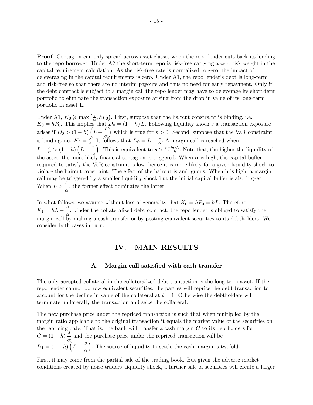Proof. Contagion can only spread across asset classes when the repo lender cuts back its lending to the repo borrower. Under A2 the short-term repo is risk-free carrying a zero risk weight in the capital requirement calculation. As the risk-free rate is normalized to zero, the impact of deleveraging in the capital requirements is zero. Under A1, the repo lender's debt is long-term and risk-free so that there are no interim payouts and thus no need for early repayment. Only if the debt contract is subject to a margin call the repo lender may have to deleverage its short-term portfolio to eliminate the transaction exposure arising from the drop in value of its long-term portfolio in asset L.

Under A1,  $K_0 \ge \max\left(\frac{\varepsilon}{\alpha}, hP_0\right)$ . First, suppose that the haircut constraint is binding, i.e.  $K_0 = hP_0$ . This implies that  $D_0 = (1 - h)L$ . Following liquidity shock s a transaction exposure arises if  $D_0 > (1-h)\left(L-\frac{s}{\alpha}\right)$ ) which is true for  $s > 0$ . Second, suppose that the VaR constraint is binding, i.e.  $K_0 = \frac{\varepsilon}{\alpha}$ . It follows that  $D_0 = L - \frac{\varepsilon}{\alpha}$ . A margin call is reached when  $L - \frac{\varepsilon}{\alpha} > (1 - h) \left( L - \frac{\alpha}{\alpha} \right)$ ). This is equivalent to  $s > \frac{\varepsilon - h\alpha L}{1-h}$ . Note that, the higher the liquidity of the asset, the more likely financial contagion is triggered. When  $\alpha$  is high, the capital buffer required to satisfy the VaR constraint is low, hence it is more likely for a given liquidity shock to violate the haircut constraint. The effect of the haircut is ambiguous. When h is high, a margin call may be triggered by a smaller liquidity shock but the initial capital buffer is also bigger. When  $L > \frac{\varepsilon}{\alpha}$ , the former effect dominates the latter.

In what follows, we assume without loss of generality that  $K_0 = hP_0 = hL$ . Therefore  $K_1 = hL - \frac{s}{\alpha}$ . Under the collateralized debt contract, the repo lender is obliged to satisfy the margin call by making a cash transfer or by posting equivalent securities to its debtholders. We consider both cases in turn.

## IV. MAIN RESULTS

#### A. Margin call satisfied with cash transfer

The only accepted collateral in the collateralized debt transaction is the long-term asset. If the repo lender cannot borrow equivalent securities, the parties will reprice the debt transaction to account for the decline in value of the collateral at  $t = 1$ . Otherwise the debtholders will terminate unilaterally the transaction and seize the collateral.

The new purchase price under the repriced transaction is such that when multiplied by the margin ratio applicable to the original transaction it equals the market value of the securities on the repricing date. That is, the bank will transfer a cash margin  $C$  to its debtholders for  $C = (1 - h) \frac{s}{\alpha}$  and the purchase price under the repriced transaction will be  $D_1 = (1-h)\left(L-\frac{s}{\alpha}\right)$ ). The source of liquidity to settle the cash margin is twofold.

First, it may come from the partial sale of the trading book. But given the adverse market conditions created by noise traders' liquidity shock, a further sale of securities will create a larger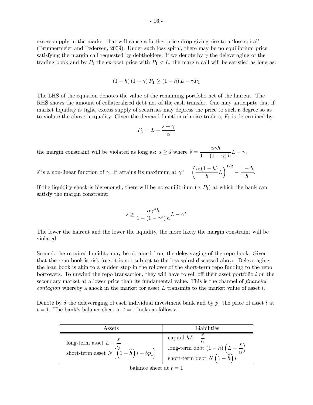excess supply in the market that will cause a further price drop giving rise to a 'loss spiral' (Brunnermeier and Pedersen, 2009). Under such loss spiral, there may be no equilibrium price satisfying the margin call requested by debtholders. If we denote by  $\gamma$  the deleveraging of the trading book and by  $P_1$  the ex-post price with  $P_1 < L$ , the margin call will be satisfied as long as:

$$
(1-h)(1-\gamma) P_1 \ge (1-h) L - \gamma P_1
$$

The LHS of the equation denotes the value of the remaining portfolio net of the haircut. The RHS shows the amount of collateralized debt net of the cash transfer. One may anticipate that if market liquidity is tight, excess supply of securities may depress the price to such a degree so as to violate the above inequality. Given the demand function of noise traders,  $P_1$  is determined by:

$$
P_1 = L - \frac{s + \gamma}{\alpha}
$$

the margin constraint will be violated as long as:  $s \geq \hat{s}$  where  $\hat{s} = \frac{\alpha \gamma h}{1 - (1 - \gamma) h} L - \gamma$ .

 $\hat{s}$  is a non-linear function of  $\gamma$ . It attains its maximum at  $\gamma^* =$  $\left(\frac{\alpha(1-h)}{2}\right)$  $\frac{N}{h}L$  $\bigg)^{1/2} - \frac{1-h}{h}.$ 

If the liquidity shock is big enough, there will be no equilibrium  $(\gamma, P_1)$  at which the bank can satisfy the margin constraint:

$$
s \ge \frac{\alpha \gamma^* h}{1 - (1 - \gamma^*) h} L - \gamma^*
$$

The lower the haircut and the lower the liquidity, the more likely the margin constraint will be violated.

Second, the required liquidity may be obtained from the deleveraging of the repo book. Given that the repo book is risk free, it is not subject to the loss spiral discussed above. Deleveraging the loan book is akin to a sudden stop in the rollover of the short-term repo funding to the repo borrowers. To unwind the repo transaction, they will have to sell off their asset portfolio  $l$  on the secondary market at a lower price than its fundamental value. This is the channel of *financial* contagion whereby a shock in the market for asset  $L$  transmits to the market value of asset  $l$ .

Denote by  $\delta$  the deleveraging of each individual investment bank and by  $p_1$  the price of asset l at  $t = 1$ . The bank's balance sheet at  $t = 1$  looks as follows:

| Assets                                                                                                       | Liabilities                                                                                                           |  |  |  |  |
|--------------------------------------------------------------------------------------------------------------|-----------------------------------------------------------------------------------------------------------------------|--|--|--|--|
| long-term asset $L - \frac{3}{2}$<br>short-term asset $N\left[\left(1-\widehat{h}\right)l-\delta p_1\right]$ | capital $h\overline{L-2}$<br>long-term debt $(1-h)\left(L-\frac{s}{\alpha}\right)$<br>short-term debt $N(1-\hat{h})l$ |  |  |  |  |
| bolango shoot at t = 1                                                                                       |                                                                                                                       |  |  |  |  |

balance sheet at  $t = 1$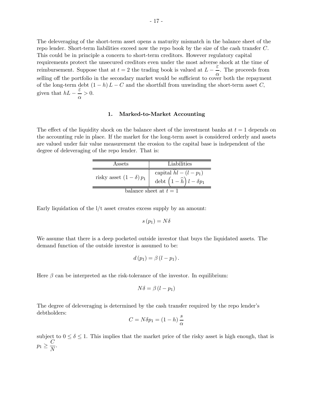The deleveraging of the short-term asset opens a maturity mismatch in the balance sheet of the repo lender. Short-term liabilities exceed now the repo book by the size of the cash transfer  $C$ . This could be in principle a concern to short-term creditors. However regulatory capital requirements protect the unsecured creditors even under the most adverse shock at the time of reimbursement. Suppose that at  $t = 2$  the trading book is valued at  $L - \frac{\varepsilon}{\alpha}$ . The proceeds from selling off the portfolio in the secondary market would be sufficient to cover both the repayment of the long-term debt  $(1 - h) L - C$  and the shortfall from unwinding the short-term asset C, given that  $hL - \frac{\varepsilon}{\alpha} > 0$ .

#### 1. Marked-to-Market Accounting

The effect of the liquidity shock on the balance sheet of the investment banks at  $t = 1$  depends on the accounting rule in place. If the market for the long-term asset is considered orderly and assets are valued under fair value measurement the erosion to the capital base is independent of the degree of deleveraging of the repo lender. That is:

| Assets                         | Liabilities                                                       |  |  |  |  |
|--------------------------------|-------------------------------------------------------------------|--|--|--|--|
| risky asset $(1 - \delta) p_1$ | capital $hl - (l - p_1)$<br>debt $(1-\widehat{h}) l - \delta p_1$ |  |  |  |  |
| balance sheet at $t=1$         |                                                                   |  |  |  |  |

Early liquidation of the l/t asset creates excess supply by an amount:

$$
s\left( p_{1}\right) =N\delta
$$

We assume that there is a deep pocketed outside investor that buys the liquidated assets. The demand function of the outside investor is assumed to be:

$$
d(p_1)=\beta(l-p_1).
$$

Here  $\beta$  can be interpreted as the risk-tolerance of the investor. In equilibrium:

$$
N\delta = \beta (l - p_1)
$$

The degree of deleveraging is determined by the cash transfer required by the repo lender's debtholders:

$$
C = N \delta p_1 = (1 - h) \frac{s}{\alpha}
$$

subject to  $0 \le \delta \le 1$ . This implies that the market price of the risky asset is high enough, that is  $p_1 \geq \frac{C}{N}.$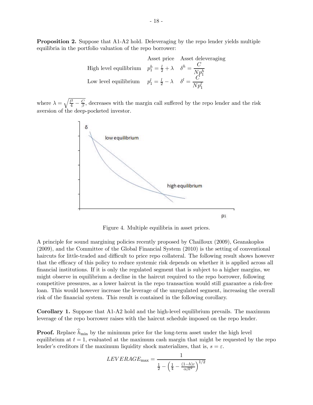Proposition 2. Suppose that A1-A2 hold. Deleveraging by the repo lender yields multiple equilibria in the portfolio valuation of the repo borrower:

> Asset price Asset deleveraging High level equilibrium  $p_1^h = \frac{l}{2} + \lambda \quad \delta^h = \frac{C}{Np_1^h}$ Low level equilibrium  $p_1^l = \frac{l}{2} - \lambda \quad \delta^l = \frac{\tilde{C}}{N p_1^l}$

where  $\lambda = \sqrt{\frac{l^2}{4} - \frac{C}{\beta}}$ , decreases with the margin call suffered by the repo lender and the risk aversion of the deep-pocketed investor.



Figure 4. Multiple equilibria in asset prices.

A principle for sound margining policies recently proposed by Chailloux (2009), Geanakoplos (2009), and the Committee of the Global Financial System (2010) is the setting of conventional haircuts for little-traded and difficult to price repo collateral. The following result shows however that the efficacy of this policy to reduce systemic risk depends on whether it is applied across all financial institutions. If it is only the regulated segment that is subject to a higher margins, we might observe in equilibrium a decline in the haircut required to the repo borrower, following competitive pressures, as a lower haircut in the repo transaction would still guarantee a risk-free loan. This would however increase the leverage of the unregulated segment, increasing the overall risk of the financial system. This result is contained in the following corollary.

Corollary 1. Suppose that A1-A2 hold and the high-level equilibrium prevails. The maximum leverage of the repo borrower raises with the haircut schedule imposed on the repo lender.

**Proof.** Replace  $h_{\text{min}}$  by the minimum price for the long-term asset under the high level equilibrium at  $t = 1$ , evaluated at the maximum cash margin that might be requested by the repo lender's creditors if the maximum liquidity shock materializes, that is,  $s = \varepsilon$ .

$$
LEVERAGE_{\text{max}} = \frac{1}{\frac{1}{2} - \left(\frac{1}{4} - \frac{(1-h)\varepsilon}{\alpha \beta l^2}\right)^{1/2}}
$$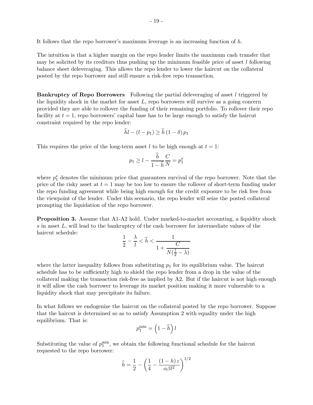It follows that the repo borrower's maximum leverage is an increasing function of  $h$ .

The intuition is that a higher margin on the repo lender limits the maximum cash transfer that may be solicited by its creditors thus pushing up the minimum feasible price of asset  $l$  following balance sheet deleveraging. This allows the repo lender to lower the haircut on the collateral posted by the repo borrower and still ensure a risk-free repo transaction.

**Bankruptcy of Repo Borrowers** Following the partial deleveraging of asset  $l$  triggered by the liquidity shock in the market for asset  $L$ , repo borrowers will survive as a going concern provided they are able to rollover the funding of their remaining portfolio. To rollover their repo facility at  $t = 1$ , repo borrowers' capital base has to be large enough to satisfy the haircut constraint required by the repo lender:

$$
\widehat{hl} - (l - p_1) \ge \widehat{h} (1 - \delta) p_1
$$

This requires the price of the long-term asset l to be high enough at  $t = 1$ :

$$
p_1 \ge l - \frac{\widehat{h}}{1 - \widehat{h}} \frac{C}{N} = p_1^s
$$

where  $p_1^s$  denotes the minimum price that guarantees survival of the repo borrower. Note that the price of the risky asset at  $t = 1$  may be too low to ensure the rollover of short-term funding under the repo funding agreement while being high enough for the credit exposure to be risk free from the viewpoint of the lender. Under this scenario, the repo lender will seize the posted collateral prompting the liquidation of the repo borrower.

Proposition 3. Assume that A1-A2 hold. Under marked-to-market accounting, a liquidity shock  $\tilde{s}$  in asset  $\tilde{L}$ , will lead to the bankruptcy of the cash borrower for intermediate values of the haircut schedule:

$$
\frac{1}{2} - \frac{\lambda}{l} < \widehat{h} < \frac{1}{1 + \frac{C}{N(\frac{l}{2} - \lambda)}}
$$

where the latter inequality follows from substituting  $p_1$  for its equilibrium value. The haircut schedule has to be sufficiently high to shield the repo lender from a drop in the value of the collateral making the transaction risk-free as implied by A2. But if the haircut is not high enough it will allow the cash borrower to leverage its market position making it more vulnerable to a liquidity shock that may precipitate its failure.

In what follows we endogenize the haircut on the collateral posted by the repo borrower. Suppose that the haircut is determined so as to satisfy Assumption 2 with equality under the high equilibrium. That is:

$$
p_1^{\min} = \left(1-\widehat{h}\right)l
$$

Substituting the value of  $p_1^{\text{min}}$ , we obtain the following functional schedule for the haircut requested to the repo borrower:

$$
\widehat{h} = \frac{1}{2} - \left(\frac{1}{4} - \frac{(1-h)\,\varepsilon}{\alpha\beta l^2}\right)^{1/2}
$$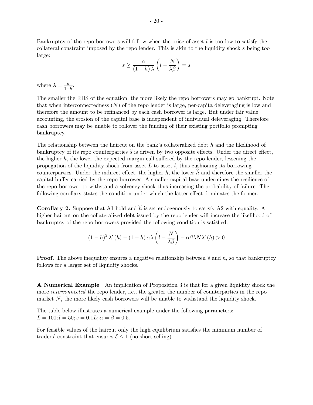Bankruptcy of the repo borrowers will follow when the price of asset  $l$  is too low to satisfy the collateral constraint imposed by the repo lender. This is akin to the liquidity shock being too large:

$$
s \geq \frac{\alpha}{(1-h)\,\lambda} \left( l - \frac{N}{\lambda\beta} \right) = \widetilde{s}
$$

where  $\lambda = \frac{h}{1}$  $rac{h}{1-\widehat{h}}$ .

The smaller the RHS of the equation, the more likely the repo borrowers may go bankrupt. Note that when interconnectedness  $(N)$  of the repo lender is large, per-capita deleveraging is low and therefore the amount to be refinanced by each cash borrower is large. But under fair value accounting, the erosion of the capital base is independent of individual deleveraging. Therefore cash borrowers may be unable to rollover the funding of their existing portfolio prompting bankruptcy.

The relationship between the haircut on the bank's collateralized debt  $h$  and the likelihood of bankruptcy of its repo counterparties  $\tilde{s}$  is driven by two opposite effects. Under the direct effect, the higher  $h$ , the lower the expected margin call suffered by the repo lender, lessening the propagation of the liquidity shock from asset  $L$  to asset  $l$ , thus cushioning its borrowing counterparties. Under the indirect effect, the higher  $h$ , the lower  $h$  and therefore the smaller the capital buffer carried by the repo borrower. A smaller capital base undermines the resilience of the repo borrower to withstand a solvency shock thus increasing the probability of failure. The following corollary states the condition under which the latter effect dominates the former.

**Corollary 2.** Suppose that A1 hold and  $h$  is set endogenously to satisfy A2 with equality. A higher haircut on the collateralized debt issued by the repo lender will increase the likelihood of bankruptcy of the repo borrowers provided the following condition is satisfied:

$$
(1-h)^{2} \lambda'(h) - (1-h) \alpha \lambda \left( l - \frac{N}{\lambda \beta} \right) - \alpha \beta \lambda N \lambda'(h) > 0
$$

**Proof.** The above inequality ensures a negative relationship between  $\tilde{s}$  and h, so that bankruptcy follows for a larger set of liquidity shocks.

A Numerical Example An implication of Proposition 3 is that for a given liquidity shock the more *interconnected* the repo lender, i.e., the greater the number of counterparties in the repo market  $N$ , the more likely cash borrowers will be unable to withstand the liquidity shock.

The table below illustrates a numerical example under the following parameters:  $L = 100; l = 50; s = 0.1L; \alpha = \beta = 0.5.$ 

For feasible values of the haircut only the high equilibrium satisfies the minimum number of traders' constraint that ensures  $\delta \leq 1$  (no short selling).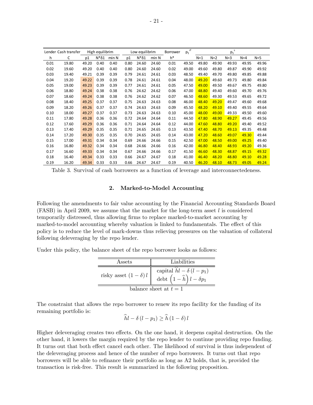|      | Lender Cash transfer |       | High equilibrim |       |      | Low equilibrim |       | Borrower | rf<br>$p_1$ |       |       | <b>S</b><br>$p_1$ |         |       |
|------|----------------------|-------|-----------------|-------|------|----------------|-------|----------|-------------|-------|-------|-------------------|---------|-------|
| h    | C                    | p1    | N*δ1            | min N | p1   | $N^*\delta1$   | min N | $h^*$    |             | $N=1$ | $N=2$ | $N = 3$           | $N = 4$ | $N=5$ |
| 0.01 | 19.80                | 49.20 | 0.40            | 0.40  | 0.80 | 24.60          | 24.60 | 0.01     | 49.50       | 49.80 | 49.90 | 49.93             | 49.95   | 49.96 |
| 0.02 | 19.60                | 49.20 | 0.40            | 0.40  | 0.80 | 24.60          | 24.60 | 0.02     | 49.00       | 49.60 | 49.80 | 49.87             | 49.90   | 49.92 |
| 0.03 | 19.40                | 49.21 | 0.39            | 0.39  | 0.79 | 24.61          | 24.61 | 0.03     | 48.50       | 49.40 | 49.70 | 49.80             | 49.85   | 49.88 |
| 0.04 | 19.20                | 49.22 | 0.39            | 0.39  | 0.78 | 24.61          | 24.61 | 0.04     | 48.00       | 49.20 | 49.60 | 49.73             | 49.80   | 49.84 |
| 0.05 | 19.00                | 49.23 | 0.39            | 0.39  | 0.77 | 24.61          | 24.61 | 0.05     | 47.50       | 49.00 | 49.50 | 49.67             | 49.75   | 49.80 |
| 0.06 | 18.80                | 49.24 | 0.38            | 0.38  | 0.76 | 24.62          | 24.62 | 0.06     | 47.00       | 48.80 | 49.40 | 49.60             | 49.70   | 49.76 |
| 0.07 | 18.60                | 49.24 | 0.38            | 0.38  | 0.76 | 24.62          | 24.62 | 0.07     | 46.50       | 48.60 | 49.30 | 49.53             | 49.65   | 49.72 |
| 0.08 | 18.40                | 49.25 | 0.37            | 0.37  | 0.75 | 24.63          | 24.63 | 0.08     | 46.00       | 48.40 | 49.20 | 49.47             | 49.60   | 49.68 |
| 0.09 | 18.20                | 49.26 | 0.37            | 0.37  | 0.74 | 24.63          | 24.63 | 0.09     | 45.50       | 48.20 | 49.10 | 49.40             | 49.55   | 49.64 |
| 0.10 | 18.00                | 49.27 | 0.37            | 0.37  | 0.73 | 24.63          | 24.63 | 0.10     | 45.00       | 48.00 | 49.00 | 49.33             | 49.50   | 49.60 |
| 0.11 | 17.80                | 49.28 | 0.36            | 0.36  | 0.72 | 24.64          | 24.64 | 0.11     | 44.50       | 47.80 | 48.90 | 49.27             | 49.45   | 49.56 |
| 0.12 | 17.60                | 49.29 | 0.36            | 0.36  | 0.71 | 24.64          | 24.64 | 0.12     | 44.00       | 47.60 | 48.80 | 49.20             | 49.40   | 49.52 |
| 0.13 | 17.40                | 49.29 | 0.35            | 0.35  | 0.71 | 24.65          | 24.65 | 0.13     | 43.50       | 47.40 | 48.70 | 49.13             | 49.35   | 49.48 |
| 0.14 | 17.20                | 49.30 | 0.35            | 0.35  | 0.70 | 24.65          | 24.65 | 0.14     | 43.00       | 47.20 | 48.60 | 49.07             | 49.30   | 49.44 |
| 0.15 | 17.00                | 49.31 | 0.34            | 0.34  | 0.69 | 24.66          | 24.66 | 0.15     | 42.50       | 47.00 | 48.50 | 49.00             | 49.25   | 49.40 |
| 0.16 | 16.80                | 49.32 | 0.34            | 0.34  | 0.68 | 24.66          | 24.66 | 0.16     | 42.00       | 46.80 | 48.40 | 48.93             | 49.20   | 49.36 |
| 0.17 | 16.60                | 49.33 | 0.34            | 0.34  | 0.67 | 24.66          | 24.66 | 0.17     | 41.50       | 46.60 | 48.30 | 48.87             | 49.15   | 49.32 |
| 0.18 | 16.40                | 49.34 | 0.33            | 0.33  | 0.66 | 24.67          | 24.67 | 0.18     | 41.00       | 46.40 | 48.20 | 48.80             | 49.10   | 49.28 |
| 0.19 | 16.20                | 49.34 | 0.33            | 0.33  | 0.66 | 24.67          | 24.67 | 0.19     | 40.50       | 46.20 | 48.10 | 48.73             | 49.05   | 49.24 |

Table 3. Survival of cash borrowers as a function of leverage and interconnectedeness.

#### 2. Marked-to-Model Accounting

Following the amendments to fair value accounting by the Financial Accounting Standards Board  $(FASB)$  in April 2009, we assume that the market for the long-term asset  $l$  is considered temporarily distressed, thus allowing firms to replace marked-to-market accounting by marked-to-model accounting whereby valuation is linked to fundamentals. The effect of this policy is to reduce the level of mark-downs thus relieving pressures on the valuation of collateral following deleveraging by the repo lender.

Under this policy, the balance sheet of the repo borrower looks as follows:

| Assets                       | Liabilities                                                                   |  |  |
|------------------------------|-------------------------------------------------------------------------------|--|--|
| risky asset $(1 - \delta) l$ | capital $\hat{hl} - \delta(l - p_1)$<br>debt $(1-\widehat{h}) l - \delta p_1$ |  |  |
| balance sheet at $t=1$       |                                                                               |  |  |

The constraint that allows the repo borrower to renew its repo facility for the funding of its remaining portfolio is:

$$
\widehat{h}l - \delta(l - p_1) \ge \widehat{h}\left(1 - \delta\right)l
$$

Higher deleveraging creates two effects. On the one hand, it deepens capital destruction. On the other hand, it lowers the margin required by the repo lender to continue providing repo funding. It turns out that both effect cancel each other. The likelihood of survival is thus independent of the deleveraging process and hence of the number of repo borrowers. It turns out that repo borrowers will be able to refinance their portfolio as long as A2 holds, that is, provided the transaction is risk-free. This result is summarized in the following proposition.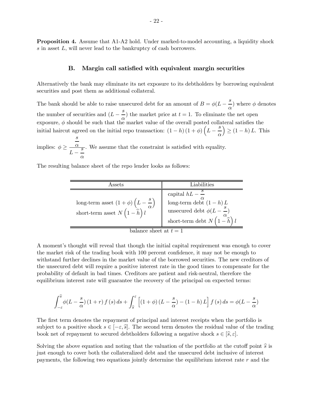Proposition 4. Assume that A1-A2 hold. Under marked-to-model accounting, a liquidity shock  $\tilde{s}$  in asset  $L$ , will never lead to the bankruptcy of cash borrowers.

#### B. Margin call satisfied with equivalent margin securities

Alternatively the bank may eliminate its net exposure to its debtholders by borrowing equivalent securities and post them as additional collateral.

The bank should be able to raise unsecured debt for an amount of  $B = \phi(L - \frac{s}{\alpha})$  where  $\phi$  denotes the number of securities and  $(L - \frac{s}{\alpha})$  the market price at  $t = 1$ . To eliminate the net open exposure,  $\phi$  should be such that the market value of the overall posted collateral satisfies the initial haircut agreed on the initial repo transaction:  $(1-h)(1+\phi)\left(L-\frac{s}{\alpha}\right)$  $\Big) \geq (1-h) L.$  This

implies:  $\phi \geq$  $\boldsymbol{s}$  $\frac{\alpha}{L-\frac{s}{\alpha}}$ . We assume that the constraint is satisfied with equality.

The resulting balance sheet of the repo lender looks as follows:

 $\equiv$  $\blacksquare$ 

| Assets                                                                                                                     | Liabilities                                                                                                                             |  |  |
|----------------------------------------------------------------------------------------------------------------------------|-----------------------------------------------------------------------------------------------------------------------------------------|--|--|
| long-term asset $(1 + \phi) \left( L - \frac{s}{\alpha} \right)$<br>short-term asset $N\left(1-\hat{\overline{h}}\right)l$ | capital $hL - \frac{3}{2}$<br>long-term debt $(1-h)L$<br>unsecured debt $\phi(L-\frac{s}{\epsilon})$<br>short-term debt $N(1-\hat{h})l$ |  |  |
| $holonovohotot + 1 = 1$                                                                                                    |                                                                                                                                         |  |  |

balance sheet at  $t = 1$ 

A moment's thought will reveal that though the initial capital requirement was enough to cover the market risk of the trading book with 100 percent confidence, it may not be enough to withstand further declines in the market value of the borrowed securities. The new creditors of the unsecured debt will require a positive interest rate in the good times to compensate for the probability of default in bad times. Creditors are patient and risk-neutral, therefore the equilibrium interest rate will guarantee the recovery of the principal on expected terms:

$$
\int_{-\varepsilon}^{\widehat{s}} \phi(L - \frac{s}{\alpha}) (1+r) f(s) ds + \int_{\widehat{s}}^{\varepsilon} \left[ (1+\phi)(L - \frac{s}{\alpha}) - (1-h)L \right] f(s) ds = \phi(L - \frac{s}{\alpha})
$$

The first term denotes the repayment of principal and interest receipts when the portfolio is subject to a positive shock  $s \in [-\varepsilon, \hat{s}]$ . The second term denotes the residual value of the trading book net of repayment to secured debtholders following a negative shock  $s \in [\hat{s}, \varepsilon]$ .

Solving the above equation and noting that the valuation of the portfolio at the cutoff point  $\hat{s}$  is just enough to cover both the collateralized debt and the unsecured debt inclusive of interest payments, the following two equations jointly determine the equilibrium interest rate  $r$  and the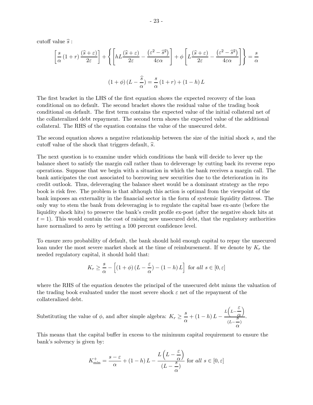$$
\left[\frac{s}{\alpha}(1+r)\frac{(\hat{s}+\varepsilon)}{2\varepsilon}\right] + \left\{ \left[ hL\frac{(\hat{s}+\varepsilon)}{2\varepsilon} - \frac{(\varepsilon^2-\hat{s}^2)}{4\varepsilon\alpha} \right] + \phi \left[ L\frac{(\hat{s}+\varepsilon)}{2\varepsilon} - \frac{(\varepsilon^2-\hat{s}^2)}{4\varepsilon\alpha} \right] \right\} = \frac{s}{\alpha}
$$
  

$$
(1+\phi)(L-\frac{\hat{s}}{\alpha}) = \frac{s}{\alpha}(1+r) + (1-h)L
$$

The first bracket in the LHS of the first equation shows the expected recovery of the loan conditional on no default. The second bracket shows the residual value of the trading book conditional on default. The first term contains the expected value of the initial collateral net of the collateralized debt repayment. The second term shows the expected value of the additional collateral. The RHS of the equation contains the value of the unsecured debt.

The second equation shows a negative relationship between the size of the initial shock s, and the cutoff value of the shock that triggers default,  $\hat{s}$ .

The next question is to examine under which conditions the bank will decide to lever up the balance sheet to satisfy the margin call rather than to deleverage by cutting back its reverse repo operations. Suppose that we begin with a situation in which the bank receives a margin call. The bank anticipates the cost associated to borrowing new securities due to the deterioration in its credit outlook. Thus, deleveraging the balance sheet would be a dominant strategy as the repo book is risk free. The problem is that although this action is optimal from the viewpoint of the bank imposes an externality in the financial sector in the form of systemic liquidity distress. The only way to stem the bank from deleveraging is to regulate the capital base ex-ante (before the liquidity shock hits) to preserve the bank's credit profile ex-post (after the negative shock hits at  $t = 1$ . This would contain the cost of raising new unsecured debt, that the regulatory authorities have normalized to zero by setting a 100 percent confidence level.

To ensure zero probability of default, the bank should hold enough capital to repay the unsecured loan under the most severe market shock at the time of reimbursement. If we denote by  $K_r$  the needed regulatory capital, it should hold that:

$$
K_r \ge \frac{s}{\alpha} - \left[ (1 + \phi)(L - \frac{\varepsilon}{\alpha}) - (1 - h)L \right] \text{ for all } s \in [0, \varepsilon]
$$

where the RHS of the equation denotes the principal of the unsecured debt minus the valuation of the trading book evaluated under the most severe shock  $\varepsilon$  net of the repayment of the collateralized debt.

Substituting the value of  $\phi$ , and after simple algebra:  $K_r \geq \frac{s}{\alpha} + (1 - h)L - \frac{L\left(L - \frac{\varepsilon}{\alpha}\right)}{(L - \frac{\varepsilon}{\alpha})^2}$  $\overline{ }$  $\frac{G}{s}$ <br>(L- $\frac{S}{\alpha}$ ) .

This means that the capital buffer in excess to the minimum capital requirement to ensure the bank's solvency is given by:

$$
K_{\min}^{+} = \frac{s - \varepsilon}{\alpha} + (1 - h)L - \frac{L\left(L - \frac{\varepsilon}{\alpha}\right)}{(L - \frac{s}{\alpha})} \text{ for all } s \in [0, \varepsilon]
$$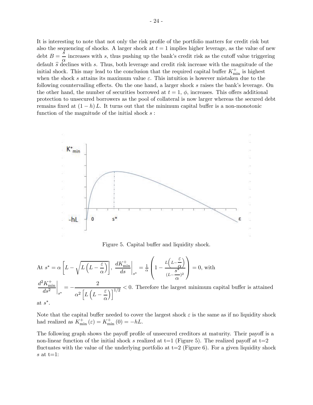It is interesting to note that not only the risk profile of the portfolio matters for credit risk but also the sequencing of shocks. A larger shock at  $t = 1$  implies higher leverage, as the value of new debt  $B = \frac{s}{\alpha}$  increases with s, thus pushing up the bank's credit risk as the cutoff value triggering default  $\hat{s}$  declines with s. Thus, both leverage and credit risk increase with the magnitude of the initial shock. This may lead to the conclusion that the required capital buffer  $K_{\min}^+$  is highest when the shock  $s$  attains its maximum value  $\varepsilon$ . This intuition is however mistaken due to the following countervailing effects. On the one hand, a larger shock  $s$  raises the bank's leverage. On the other hand, the number of securities borrowed at  $t = 1, \phi$ , increases. This offers additional protection to unsecured borrowers as the pool of collateral is now larger whereas the secured debt remains fixed at  $(1-h)L$ . It turns out that the minimum capital buffer is a non-monotonic function of the magnitude of the initial shock  $s$ :



Figure 5. Capital buffer and liquidity shock.

At 
$$
s^* = \alpha \left[ L - \sqrt{L \left( L - \frac{\varepsilon}{\alpha} \right)} \right], \frac{dK_{\min}^+}{ds} \Big|_{s^*} = \frac{1}{\alpha} \left( 1 - \frac{L \left( L - \frac{\varepsilon}{\alpha} \right)}{(L - \frac{s^*}{\alpha})^2} \right) = 0
$$
, with  
\n
$$
\frac{d^2 K_{\min}^+}{ds^2} \Big|_{s^*} = -\frac{2}{\alpha^2 \left[ L \left( L - \frac{\varepsilon}{\alpha} \right) \right]^{1/2}} < 0.
$$
 Therefore the largest minimum capital buffer is attained at  $s^*$ .

Note that the capital buffer needed to cover the largest shock  $\varepsilon$  is the same as if no liquidity shock had realized as  $K_{\min}^+ (\varepsilon) = K_{\min}^+ (0) = -hL$ .

The following graph shows the payoff profile of unsecured creditors at maturity. Their payoff is a non-linear function of the initial shock s realized at  $t=1$  (Figure 5). The realized payoff at  $t=2$ fluctuates with the value of the underlying portfolio at  $t=2$  (Figure 6). For a given liquidity shock s at  $t=1$ :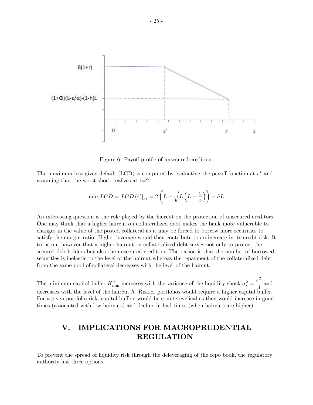

Figure 6. Payoff profile of unsecured creditors.

The maximum loss given default (LGD) is computed by evaluating the payoff function at  $s^*$  and assuming that the worst shock realizes at  $t=2$ .

$$
\max LGD = LGD(\varepsilon)|_{s*} = 2\left(L - \sqrt{L\left(L - \frac{\varepsilon}{\alpha}\right)}\right) - hL
$$

An interesting question is the role played by the haircut on the protection of unsecured creditors. One may think that a higher haircut on collateralized debt makes the bank more vulnerable to changes in the value of the posted collateral as it may be forced to borrow more securities to satisfy the margin ratio. Higher leverage would then contribute to an increase in its credit risk. It turns out however that a higher haircut on collateralized debt serves not only to protect the secured debtholders but also the unsecured creditors. The reason is that the number of borrowed securities is inelastic to the level of the haircut whereas the repayment of the collateralized debt from the same pool of collateral decreases with the level of the haircut.

The minimum capital buffer  $K_{\min}^+$  increases with the variance of the liquidity shock  $\sigma_s^2 = \frac{\varepsilon^2}{3}$  and decreases with the level of the haircut  $h$ . Riskier portfolios would require a higher capital buffer. For a given portfolio risk, capital buffers would be countercyclical as they would increase in good times (associated with low haircuts) and decline in bad times (when haircuts are higher).

# V. IMPLICATIONS FOR MACROPRUDENTIAL REGULATION

To prevent the spread of liquidity risk through the deleveraging of the repo book, the regulatory authority has three options.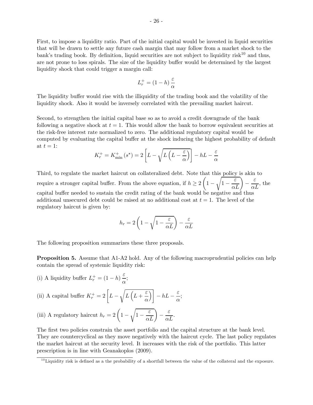First, to impose a liquidity ratio. Part of the initial capital would be invested in liquid securities that will be drawn to settle any future cash margin that may follow from a market shock to the bank's trading book. By definition, liquid securities are not subject to liquidity risk<sup>10</sup> and thus, are not prone to loss spirals. The size of the liquidity buffer would be determined by the largest liquidity shock that could trigger a margin call:

$$
L_r^+ = (1 - h) \frac{\varepsilon}{\alpha}
$$

The liquidity buffer would rise with the illiquidity of the trading book and the volatility of the liquidity shock. Also it would be inversely correlated with the prevailing market haircut.

Second, to strengthen the initial capital base so as to avoid a credit downgrade of the bank following a negative shock at  $t = 1$ . This would allow the bank to borrow equivalent securities at the risk-free interest rate normalized to zero. The additional regulatory capital would be computed by evaluating the capital buffer at the shock inducing the highest probability of default at  $t=1$ :

$$
K_r^+ = K_{\min}^+ (s^*) = 2 \left[ L - \sqrt{L \left( L - \frac{\varepsilon}{\alpha} \right)} \right] - hL - \frac{\varepsilon}{\alpha}
$$

Third, to regulate the market haircut on collateralized debt. Note that this policy is akin to require a stronger capital buffer. From the above equation, if  $h \geq 2$ µ 1 −  $\sqrt{1-\frac{\varepsilon}{\alpha L}}$  –  $\frac{\varepsilon}{\alpha L}$ , the capital buffer needed to sustain the credit rating of the bank would be negative and thus additional unsecured debt could be raised at no additional cost at  $t = 1$ . The level of the regulatory haircut is given by:

$$
h_r = 2\left(1 - \sqrt{1 - \frac{\varepsilon}{\alpha L}}\right) - \frac{\varepsilon}{\alpha L}
$$

The following proposition summarizes these three proposals.

**Proposition 5.** Assume that A1-A2 hold. Any of the following macroprudential policies can help contain the spread of systemic liquidity risk:

(i) A liquidity buffer  $L_r^+ = (1 - h) \frac{\varepsilon}{\alpha}$ ;

(ii) A capital buffer 
$$
K_r^+ = 2 \left[ L - \sqrt{L \left( L + \frac{\varepsilon}{\alpha} \right)} \right] - hL - \frac{\varepsilon}{\alpha};
$$

(iii) A regulatory haircut 
$$
h_r = 2\left(1 - \sqrt{1 - \frac{\varepsilon}{\alpha L}}\right) - \frac{\varepsilon}{\alpha L}.
$$

The first two policies constrain the asset portfolio and the capital structure at the bank level. They are countercyclical as they move negatively with the haircut cycle. The last policy regulates the market haircut at the security level. It increases with the risk of the portfolio. This latter prescription is in line with Geanakoplos (2009).

 $10$  Liquidity risk is defined as a the probability of a shortfall between the value of the collateral and the exposure.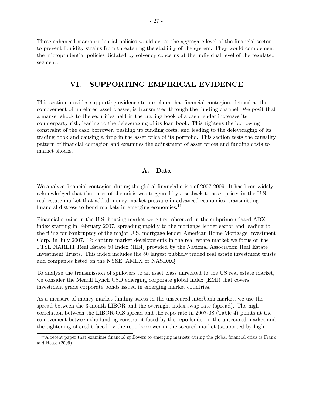These enhanced macroprudential policies would act at the aggregate level of the financial sector to prevent liquidity strains from threatening the stability of the system. They would complement the microprudential policies dictated by solvency concerns at the individual level of the regulated segment.

## VI. SUPPORTING EMPIRICAL EVIDENCE

This section provides supporting evidence to our claim that financial contagion, defined as the comovement of unrelated asset classes, is transmitted through the funding channel. We posit that a market shock to the securities held in the trading book of a cash lender increases its counterparty risk, leading to the deleveraging of its loan book. This tightens the borrowing constraint of the cash borrower, pushing up funding costs, and leading to the deleveraging of its trading book and causing a drop in the asset price of its portfolio. This section tests the causality pattern of financial contagion and examines the adjustment of asset prices and funding costs to market shocks.

## A. Data

We analyze financial contagion during the global financial crisis of 2007-2009. It has been widely acknowledged that the onset of the crisis was triggered by a setback to asset prices in the U.S. real estate market that added money market pressure in advanced economies, transmitting financial distress to bond markets in emerging economies.<sup>11</sup>

Financial strains in the U.S. housing market were first observed in the subprime-related ABX index starting in February 2007, spreading rapidly to the mortgage lender sector and leading to the filing for bankruptcy of the major U.S. mortgage lender American Home Mortgage Investment Corp. in July 2007. To capture market developments in the real estate market we focus on the FTSE NAREIT Real Estate 50 Index (HEI) provided by the National Association Real Estate Investment Trusts. This index includes the 50 largest publicly traded real estate investment trusts and companies listed on the NYSE, AMEX or NASDAQ.

To analyze the transmission of spillovers to an asset class unrelated to the US real estate market, we consider the Merrill Lynch USD emerging corporate global index (EMI) that covers investment grade corporate bonds issued in emerging market countries.

As a measure of money market funding stress in the unsecured interbank market, we use the spread between the 3-month LIBOR and the overnight index swap rate (spread). The high correlation between the LIBOR-OIS spread and the repo rate in 2007-08 (Table 4) points at the comovement between the funding constraint faced by the repo lender in the unsecured market and the tightening of credit faced by the repo borrower in the secured market (supported by high

 $11$ A recent paper that examines financial spillovers to emerging markets during the global financial crisis is Frank and Hesse (2009).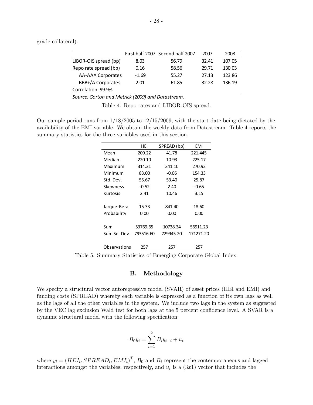|                          |         | First half 2007 Second half 2007 | 2007  | 2008   |
|--------------------------|---------|----------------------------------|-------|--------|
| LIBOR-OIS spread (bp)    | 8.03    | 56.79                            | 32.41 | 107.05 |
| Repo rate spread (bp)    | 0.16    | 58.56                            | 29.71 | 130.03 |
| <b>AA-AAA Corporates</b> | $-1.69$ | 55.27                            | 27.13 | 123.86 |
| BBB+/A Corporates        | 2.01    | 61.85                            | 32.28 | 136.19 |
| Correlation: 99.9%       |         |                                  |       |        |

grade collateral).

*Source: Gorton and Metrick (2009) and Datastream.*

Table 4. Repo rates and LIBOR-OIS spread.

Our sample period runs from 1/18/2005 to 12/15/2009, with the start date being dictated by the availability of the EMI variable. We obtain the weekly data from Datastream. Table 4 reports the summary statistics for the three variables used in this section.

|              | HEI       | SPREAD (bp) | EMI       |
|--------------|-----------|-------------|-----------|
| Mean         | 209.22    | 41.78       | 221.445   |
| Median       | 220.10    | 10.93       | 225.17    |
| Maximum      | 314.31    | 341.10      | 270.92    |
| Minimum      | 83.00     | $-0.06$     | 154.33    |
| Std. Dev.    | 55.67     | 53.40       | 25.87     |
| Skewness     | $-0.52$   | 2.40        | $-0.65$   |
| Kurtosis     | 2.41      | 10.46       | 3.15      |
|              |           |             |           |
| Jarque-Bera  | 15.33     | 841.40      | 18.60     |
| Probability  | 0.00      | 0.00        | 0.00      |
|              |           |             |           |
| Sum          | 53769.65  | 10738.34    | 56911.23  |
| Sum Sg. Dev. | 793516.60 | 729945.20   | 171271.20 |
|              |           |             |           |
| Observations | 257       | 257         | 257       |

Table 5. Summary Statistics of Emerging Corporate Global Index.

#### B. Methodology

We specify a structural vector autoregressive model (SVAR) of asset prices (HEI and EMI) and funding costs (SPREAD) whereby each variable is expressed as a function of its own lags as well as the lags of all the other variables in the system. We include two lags in the system as suggested by the VEC lag exclusion Wald test for both lags at the 5 percent confidence level. A SVAR is a dynamic structural model with the following specification:

$$
B_0 y_t = \sum_{i=1}^2 B_i y_{t-i} + u_t
$$

where  $y_t = (HEL_t, SPREAD_t, EMI_t)^T$ ,  $B_0$  and  $B_i$  represent the contemporaneous and lagged interactions amongst the variables, respectively, and  $u_t$  is a  $(3x1)$  vector that includes the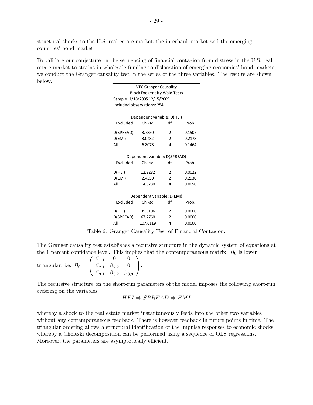structural shocks to the U.S. real estate market, the interbank market and the emerging countries' bond market.

To validate our conjecture on the sequencing of financial contagion from distress in the U.S. real estate market to strains in wholesale funding to dislocation of emerging economies' bond markets, we conduct the Granger causality test in the series of the three variables. The results are shown below.

| <b>VEC Granger Causality</b> |                                    |               |        |  |
|------------------------------|------------------------------------|---------------|--------|--|
|                              | <b>Block Exogeneity Wald Tests</b> |               |        |  |
|                              | Sample: 1/18/2005 12/15/2009       |               |        |  |
|                              | Included observations: 254         |               |        |  |
|                              |                                    |               |        |  |
|                              | Dependent variable: D(HEI)         |               |        |  |
| Excluded                     | Chi-sg                             | df            | Prob.  |  |
| D(SPREAD)                    | 3.7850                             | 2             | 0.1507 |  |
| D(EMI)                       | 3.0482                             | 2             | 0.2178 |  |
| All                          | 6.8078                             | 4             | 0.1464 |  |
|                              |                                    |               |        |  |
|                              | Dependent variable: D(SPREAD)      |               |        |  |
| Excluded                     | Chi-sg                             | df            | Prob.  |  |
| D(HEI)                       | 12.2282                            | $\mathcal{P}$ | 0.0022 |  |
| D(EMI)                       | 2.4550                             | $\mathcal{P}$ | 0.2930 |  |
| All                          | 14.8780                            | 4             | 0.0050 |  |
|                              |                                    |               |        |  |
| Dependent variable: D(EMI)   |                                    |               |        |  |
| Excluded                     | Chi-sq                             | df            | Prob.  |  |
| D(HEI)                       | 35.5106                            | 2             | 0.0000 |  |
| D(SPREAD)                    | 67.2760                            | 2             | 0.0000 |  |
| All                          | 107.6119                           | 4             | 0.0000 |  |

Table 6. Granger Causality Test of Financial Contagion.

The Granger causality test establishes a recursive structure in the dynamic system of equations at the 1 percent confidence level. This implies that the contemporaneous matrix  $B_0$  is lower

triangular, i.e. 
$$
B_0 = \begin{pmatrix} \beta_{1,1} & 0 & 0 \\ \beta_{2,1} & \beta_{2,2} & 0 \\ \beta_{3,1} & \beta_{3,2} & \beta_{3,3} \end{pmatrix}
$$
.

The recursive structure on the short-run parameters of the model imposes the following short-run ordering on the variables:

$$
HEI \Rightarrow SPREAD \Rightarrow EMI
$$

whereby a shock to the real estate market instantaneously feeds into the other two variables without any contemporaneous feedback. There is however feedback in future points in time. The triangular ordering allows a structural identification of the impulse responses to economic shocks whereby a Choleski decomposition can be performed using a sequence of OLS regressions. Moreover, the parameters are asymptotically efficient.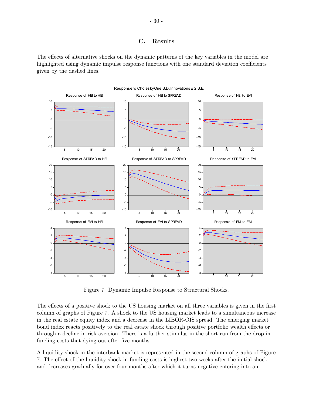#### C. Results

The effects of alternative shocks on the dynamic patterns of the key variables in the model are highlighted using dynamic impulse response functions with one standard deviation coefficients given by the dashed lines.



Figure 7. Dynamic Impulse Response to Structural Shocks.

The effects of a positive shock to the US housing market on all three variables is given in the first column of graphs of Figure 7. A shock to the US housing market leads to a simultaneous increase in the real estate equity index and a decrease in the LIBOR-OIS spread. The emerging market bond index reacts positively to the real estate shock through positive portfolio wealth effects or through a decline in risk aversion. There is a further stimulus in the short run from the drop in funding costs that dying out after five months.

A liquidity shock in the interbank market is represented in the second column of graphs of Figure 7. The effect of the liquidity shock in funding costs is highest two weeks after the initial shock and decreases gradually for over four months after which it turns negative entering into an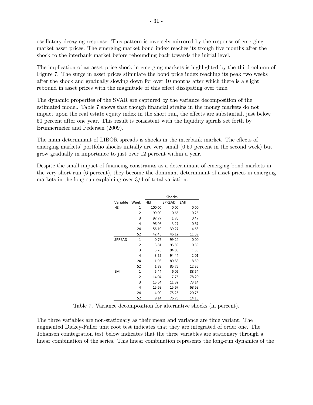oscillatory decaying response. This pattern is inversely mirrored by the response of emerging market asset prices. The emerging market bond index reaches its trough five months after the shock to the interbank market before rebounding back towards the initial level.

The implication of an asset price shock in emerging markets is highlighted by the third column of Figure 7. The surge in asset prices stimulate the bond price index reaching its peak two weeks after the shock and gradually slowing down for over 10 months after which there is a slight rebound in asset prices with the magnitude of this effect dissipating over time.

The dynamic properties of the SVAR are captured by the variance decomposition of the estimated model. Table 7 shows that though financial strains in the money markets do not impact upon the real estate equity index in the short run, the effects are substantial, just below 50 percent after one year. This result is consistent with the liquidity spirals set forth by Brunnermeier and Pedersen (2009).

The main determinant of LIBOR spreads is shocks in the interbank market. The effects of emerging markets' portfolio shocks initially are very small (0.59 percent in the second week) but grow gradually in importance to just over 12 percent within a year.

Despite the small impact of financing constraints as a determinant of emerging bond markets in the very short run (6 percent), they become the dominant determinant of asset prices in emerging markets in the long run explaining over 3/4 of total variation.

|               |                | <b>Shocks</b> |               |       |
|---------------|----------------|---------------|---------------|-------|
| Variable      | Week           | HEI           | <b>SPREAD</b> | EMI   |
| HEI           | 1              | 100.00        | 0.00          | 0.00  |
|               | 2              | 99.09         | 0.66          | 0.25  |
|               | 3              | 97.77         | 1.76          | 0.47  |
|               | 4              | 96.06         | 3.27          | 0.67  |
|               | 24             | 56.10         | 39.27         | 4.63  |
|               | 52             | 42.48         | 46.12         | 11.39 |
| <b>SPREAD</b> | $\mathbf{1}$   | 0.76          | 99.24         | 0.00  |
|               | $\overline{2}$ | 3.81          | 95.59         | 0.59  |
|               | 3              | 3.76          | 94.86         | 1.38  |
|               | 4              | 3.55          | 94.44         | 2.01  |
|               | 24             | 1.93          | 89.58         | 8.50  |
|               | 52             | 1.89          | 85.75         | 12.35 |
| EMI           | 1              | 5.44          | 6.02          | 88.54 |
|               | 2              | 14.04         | 7.76          | 78.20 |
|               | 3              | 15.54         | 11.32         | 73.14 |
|               | 4              | 15.69         | 15.67         | 68.63 |
|               | 24             | 4.00          | 75.25         | 20.75 |
|               | 52             | 9.14          | 76.73         | 14.13 |

Table 7. Variance decomposition for alternative shocks (in percent).

The three variables are non-stationary as their mean and variance are time variant. The augmented Dickey-Fuller unit root test indicates that they are integrated of order one. The Johansen cointegration test below indicates that the three variables are stationary through a linear combination of the series. This linear combination represents the long-run dynamics of the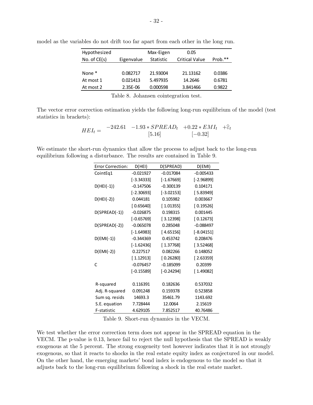| Hypothesized   |            | Max-Eigen        | 0.05                  |         |
|----------------|------------|------------------|-----------------------|---------|
| No. of $CE(s)$ | Eigenvalue | <b>Statistic</b> | <b>Critical Value</b> | Prob.** |
|                |            |                  |                       |         |
| None *         | 0.082717   | 21.93004         | 21.13162              | 0.0386  |
| At most 1      | 0.021413   | 5.497935         | 14.2646               | 0.6781  |
| At most 2      | 2.35E-06   | 0.000598         | 3.841466              | 0.9822  |

model as the variables do not drift too far apart from each other in the long run.

Table 8. Johansen cointegration test.

The vector error correction estimation yields the following long-run equilibrium of the model (test statistics in brackets):

$$
HEI_t = \begin{array}{cc} -242.61 & -1.93 * SPREAD_t & +0.22 * EMI_t & +\hat{\epsilon}_t \\ [5.16] & [-0.32] \end{array}
$$

We estimate the short-run dynamics that allow the process to adjust back to the long-run equilibrium following a disturbance. The results are contained in Table 9.

| <b>Error Correction:</b> | D(HEI)       | D(SPREAD)    | D(EMI)       |
|--------------------------|--------------|--------------|--------------|
| CointEq1                 | $-0.021927$  | $-0.017084$  | $-0.005433$  |
|                          | $[-3.34333]$ | $[-1.67669]$ | $[-2.96899]$ |
| $D(HEI(-1))$             | $-0.147506$  | $-0.300139$  | 0.104171     |
|                          | $[-2.30693]$ | $[-3.02153]$ | [5.83949]    |
| $D(HEI(-2))$             | 0.044181     | 0.105982     | 0.003667     |
|                          | [0.65640]    | [1.01355]    | [0.19526]    |
| D(SPREAD(-1))            | $-0.026875$  | 0.198315     | 0.001445     |
|                          | $[-0.65769]$ | [3.12398]    | [0.12673]    |
| D(SPREAD(-2))            | $-0.065078$  | 0.285048     | $-0.088497$  |
|                          | $[-1.64983]$ | [4.65156]    | $[-8.04151]$ |
| $D(EMI(-1))$             | $-0.344369$  | 0.453742     | 0.208476     |
|                          | $[-1.62436]$ | [1.37768]    | [3.52468]    |
| $D(EMI(-2))$             | 0.227517     | 0.082266     | 0.148052     |
|                          | [1.12913]    | [0.26280]    | [2.63359]    |
| C                        | $-0.076457$  | $-0.185099$  | 0.20399      |
|                          | $[-0.15589]$ | $[-0.24294]$ | [1.49082]    |
|                          |              |              |              |
| R-squared                | 0.116391     | 0.182636     | 0.537032     |
| Adj. R-squared           | 0.091248     | 0.159378     | 0.523858     |
| Sum sq. resids           | 14693.3      | 35461.79     | 1143.692     |
| S.E. equation            | 7.728444     | 12.0064      | 2.15619      |
| F-statistic              | 4.629105     | 7.852517     | 40.76486     |

Table 9. Short-run dynamics in the VECM.

We test whether the error correction term does not appear in the SPREAD equation in the VECM. The p-value is 0.13, hence fail to reject the null hypothesis that the SPREAD is weakly exogenous at the 5 percent. The strong exogeneity test however indicates that it is not strongly exogenous, so that it reacts to shocks in the real estate equity index as conjectured in our model. On the other hand, the emerging markets' bond index is endogenous to the model so that it adjusts back to the long-run equilibrium following a shock in the real estate market.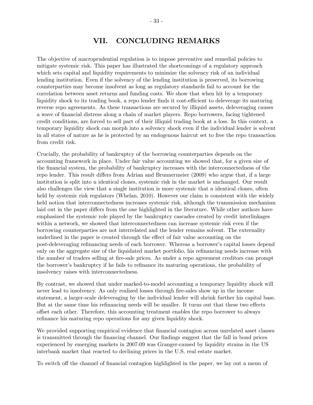# VII. CONCLUDING REMARKS

The objective of macroprudential regulation is to impose preventive and remedial policies to mitigate systemic risk. This paper has illustrated the shortcomings of a regulatory approach which sets capital and liquidity requirements to minimize the solvency risk of an individual lending institution. Even if the solvency of the lending institution is preserved, its borrowing counterparties may become insolvent as long as regulatory standards fail to account for the correlation between asset returns and funding costs. We show that when hit by a temporary liquidity shock to its trading book, a repo lender finds it cost-efficient to deleverage its maturing reverse repo agreements. As these transactions are secured by illiquid assets, deleveraging causes a wave of financial distress along a chain of market players. Repo borrowers, facing tightened credit conditions, are forced to sell part of their illiquid trading book at a loss. In this context, a temporary liquidity shock can morph into a solvency shock even if the individual lender is solvent in all states of nature as he is protected by an endogenous haircut set to free the repo transaction from credit risk.

Crucially, the probability of bankruptcy of the borrowing counterparties depends on the accounting framework in place. Under fair value accounting we showed that, for a given size of the financial system, the probability of bankruptcy increases with the interconnectedness of the repo lender. This result differs from Adrian and Brunnermeier (2009) who argue that, if a large institution is split into n identical clones, systemic risk in the market is unchanged. Our result also challenges the view that a single institution is more systemic that n identical clones, often held by systemic risk regulators (Whelan, 2010). However our claim is consistent with the widely held notion that interconnectedness increases systemic risk, although the transmission mechanism laid out in the paper differs from the one highlighted in the literature. While other authors have emphasized the systemic role played by the bankruptcy cascades created by credit interlinkages within a network, we showed that interconnectedness can increase systemic risk even if the borrowing counterparties are not interrelated and the lender remains solvent. The externality underlined in the paper is created through the effect of fair value accounting on the post-deleveraging refinancing needs of each borrower. Whereas a borrower's capital losses depend only on the aggregate size of the liquidated market portfolio, his refinancing needs increase with the number of traders selling at fire-sale prices. As under a repo agreement creditors can prompt the borrower's bankruptcy if he fails to refinance its maturing operations, the probability of insolvency raises with interconnectedness.

By contrast, we showed that under marked-to-model accounting a temporary liquidity shock will never lead to insolvency. As only realized losses through fire-sales show up in the income statement, a larger-scale deleveraging by the individual lender will shrink further his capital base. But at the same time his refinancing needs will be smaller. It turns out that these two effects offset each other. Therefore, this accounting treatment enables the repo borrower to always refinance his maturing repo operations for any given liquidity shock.

We provided supporting empirical evidence that financial contagion across unrelated asset classes is transmitted through the financing channel. Our findings suggest that the fall in bond prices experienced by emerging markets in 2007-09 was Granger-caused by liquidity strains in the US interbank market that reacted to declining prices in the U.S. real estate market.

To switch off the channel of financial contagion highlighted in the paper, we lay out a menu of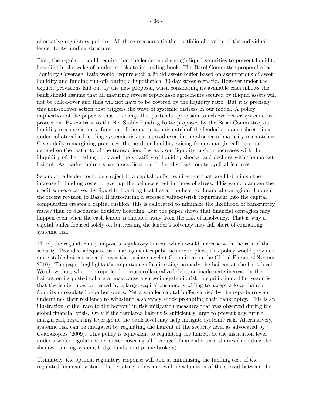alternative regulatory policies. All these measures tie the portfolio allocation of the individual lender to its funding structure.

First, the regulator could require that the lender hold enough liquid securities to prevent liquidity hoarding in the wake of market shocks to its trading book. The Basel Committee proposal of a Liquidity Coverage Ratio would require such a liquid assets buffer based on assumptions of asset liquidity and funding run-offs during a hypothetical 30-day stress scenario. However under the explicit provisions laid out by the new proposal, when considering its available cash inflows the bank should assume that all maturing reverse repurchase agreements secured by illiquid assets will not be rolled-over and thus will not have to be covered by the liquidity ratio. But it is precisely this non-rollover action that triggers the wave of systemic distress in our model. A policy implication of the paper is thus to change this particular provision to achieve better systemic risk protection. By contrast to the Net Stable Funding Ratio proposed by the Basel Committee, our liquidity measure is not a function of the maturity mismatch of the lender's balance sheet, since under collateralized lending systemic risk can spread even in the absence of maturity mismatches. Given daily remargining practices, the need for liquidity arising from a margin call does not depend on the maturity of the transaction. Instead, our liquidity cushion increases with the illiquidity of the trading book and the volatility of liquidity shocks, and declines with the market haircut. As market haircuts are procyclical, our buffer displays countercyclical features.

Second, the lender could be subject to a capital buffer requirement that would diminish the increase in funding costs to lever up the balance sheet in times of stress. This would dampen the credit squeeze caused by liquidity hoarding that lies at the heart of financial contagion. Though the recent revision to Basel II introducing a stressed value-at-risk requirement into the capital computation creates a capital cushion, this is calibrated to minimize the likelihood of bankruptcy rather than to discourage liquidity hoarding. But the paper shows that financial contagion may happen even when the cash lender is shielded away from the risk of insolvency. That is why a capital buffer focused solely on buttressing the lender's solvency may fall short of containing systemic risk.

Third, the regulator may impose a regulatory haircut which would increase with the risk of the security. Provided adequate risk management capabilities are in place, this policy would provide a more stable haircut schedule over the business cycle ( Committee on the Global Financial System, 2010). The paper highlights the importance of calibrating properly the haircut at the bank level. We show that, when the repo lender issues collateralized debt, an inadequate increase in the haircut on its posted collateral may cause a surge in systemic risk in equilibrium. The reason is that the lender, now protected by a larger capital cushion, is willing to accept a lower haircut from its unregulated repo borrowers. Yet a smaller capital buffer carried by the repo borrowers undermines their resilience to withstand a solvency shock prompting their bankruptcy. This is an illustration of the 'race to the bottom' in risk mitigation measures that was observed during the global financial crisis. Only if the regulated haircut is sufficiently large to prevent any future margin call, regulating leverage at the bank level may help mitigate systemic risk. Alternatively, systemic risk can be mitigated by regulating the haircut at the security level as advocated by Geanakoplos (2009). This policy is equivalent to regulating the haircut at the institution level under a wider regulatory perimeter covering all leveraged financial intermediaries (including the shadow banking system, hedge funds, and prime brokers).

Ultimately, the optimal regulatory response will aim at minimizing the funding cost of the regulated financial sector. The resulting policy mix will be a function of the spread between the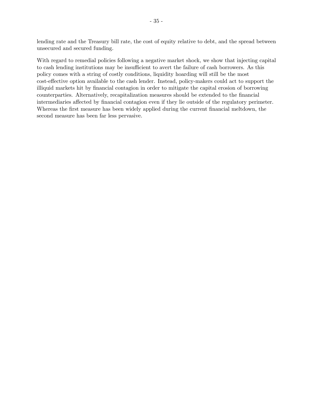lending rate and the Treasury bill rate, the cost of equity relative to debt, and the spread between unsecured and secured funding.

With regard to remedial policies following a negative market shock, we show that injecting capital to cash lending institutions may be insufficient to avert the failure of cash borrowers. As this policy comes with a string of costly conditions, liquidity hoarding will still be the most cost-effective option available to the cash lender. Instead, policy-makers could act to support the illiquid markets hit by financial contagion in order to mitigate the capital erosion of borrowing counterparties. Alternatively, recapitalization measures should be extended to the financial intermediaries affected by financial contagion even if they lie outside of the regulatory perimeter. Whereas the first measure has been widely applied during the current financial meltdown, the second measure has been far less pervasive.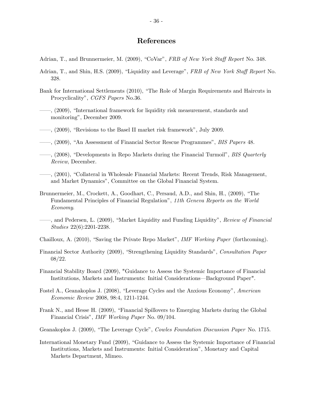## References

- Adrian, T., and Brunnermeier, M. (2009), "CoVar", FRB of New York Staff Report No. 348.
- Adrian, T., and Shin, H.S. (2009), "Liquidity and Leverage", FRB of New York Staff Report No. 328.
- Bank for International Settlements (2010), "The Role of Margin Requirements and Haircuts in Procyclicality", CGFS Papers No.36.
- ––, (2009), "International framework for liquidity risk measurement, standards and monitoring", December 2009.
- ––, (2009), "Revisions to the Basel II market risk framework", July 2009.
- ––, (2009), "An Assessment of Financial Sector Rescue Programmes", BIS Papers 48.
- –, (2008), "Developments in Repo Markets during the Financial Turmoil", *BIS Quarterly* Review, December.
- ––, (2001), "Collateral in Wholesale Financial Markets: Recent Trends, Risk Management, and Market Dynamics", Committee on the Global Financial System.
- Brunnermeier, M., Crockett, A., Goodhart, C., Persaud, A.D., and Shin, H., (2009), "The Fundamental Principles of Financial Regulation", 11th Geneva Reports on the World Economy.
- ––, and Pedersen, L. (2009), "Market Liquidity and Funding Liquidity", Review of Financial Studies 22(6):2201-2238.
- Chailloux, A. (2010), "Saving the Private Repo Market", IMF Working Paper (forthcoming).
- Financial Sector Authority (2009), "Strengthening Liquidity Standards", Consultation Paper 08/22.
- Financial Stability Board (2009), "Guidance to Assess the Systemic Importance of Financial Institutions, Markets and Instruments: Initial Considerations–Background Paper".
- Fostel A., Geanakoplos J. (2008), "Leverage Cycles and the Anxious Economy", American Economic Review 2008, 98:4, 1211-1244.
- Frank N., and Hesse H. (2009), "Financial Spillovers to Emerging Markets during the Global Financial Crisis", IMF Working Paper No. 09/104.
- Geanakoplos J. (2009), "The Leverage Cycle", Cowles Foundation Discussion Paper No. 1715.
- International Monetary Fund (2009), "Guidance to Assess the Systemic Importance of Financial Institutions, Markets and Instruments: Initial Consideration", Monetary and Capital Markets Department, Mimeo.